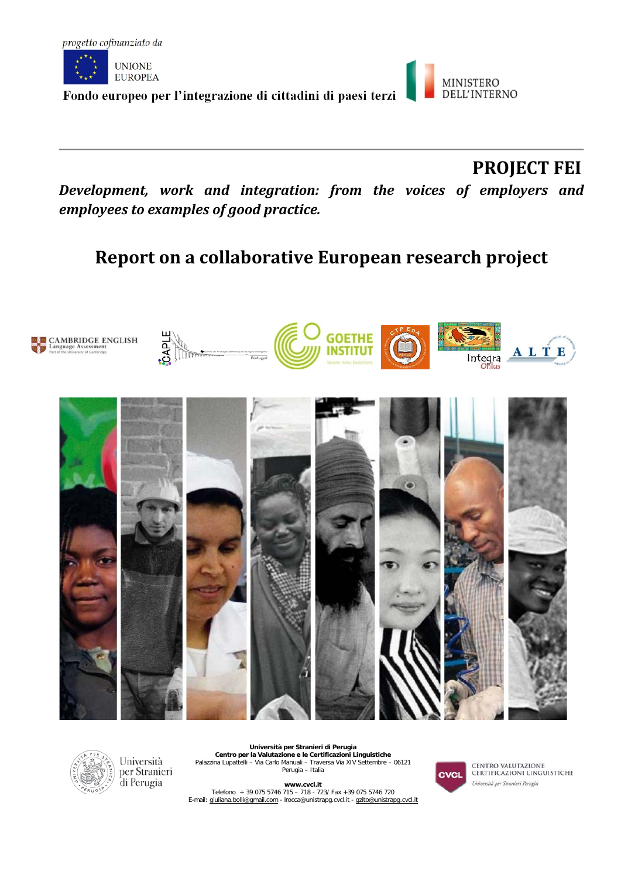



 **PROJECT FEI**

*Development, work and integration: from the voices of employers and employees to examples of good practice.*

# **Report on a collaborative European research project**





Università per Stranieri di Perugia

**Università per Stranieri di Perugia Centro per la Valutazione e le Certificazioni Linguistiche** Palazzina Lupattelli – Via Carlo Manuali – Traversa Via XIV Settembre – 06121 Perugia – Italia

**www.cvcl.it**  Telefono + 39 075 5746 715 – 718 - 723/ Fax +39 075 5746 720<br>E-mail[: giuliana.bolli@gmail.com](mailto:giuliana.bolli@gmail.com) - lrocca@unistrapg.cvcl.it - [gzito@unistrapg.cvcl.it](mailto:gzito@unistrapg.cvcl.it)



CENTRO VALUTAZIONE<br>CERTIFICAZIONI LINGUISTICHE Università per Stranieri Perugia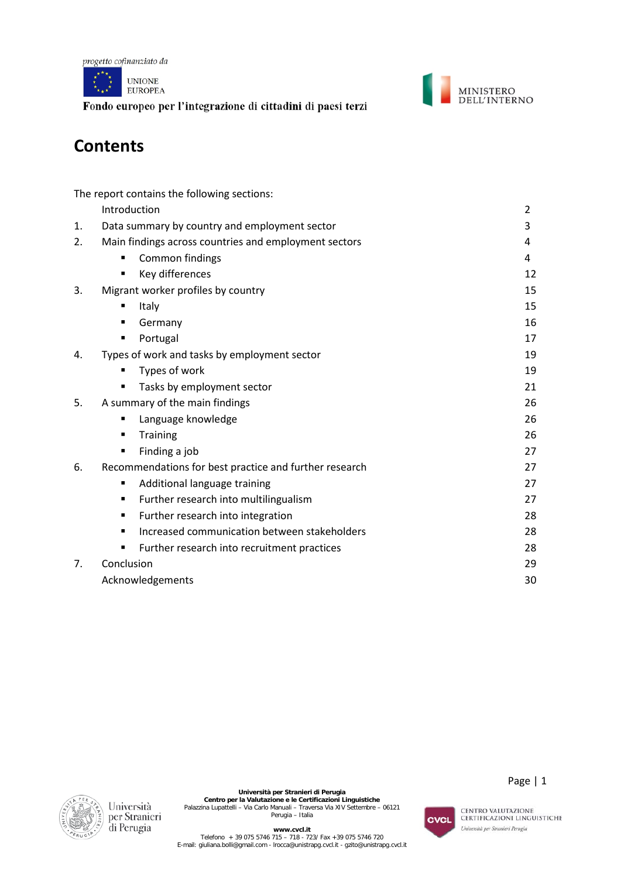



# **Contents**

|                | The report contains the following sections:            |                |
|----------------|--------------------------------------------------------|----------------|
|                | Introduction                                           | $\overline{2}$ |
| 1.             | Data summary by country and employment sector          | 3              |
| 2.             | Main findings across countries and employment sectors  | 4              |
|                | Common findings<br>п                                   | 4              |
|                | Key differences<br>$\blacksquare$                      | 12             |
| 3.             | Migrant worker profiles by country                     | 15             |
|                | Italy<br>п                                             | 15             |
|                | Germany<br>п                                           | 16             |
|                | Portugal<br>п                                          | 17             |
| 4.             | Types of work and tasks by employment sector           | 19             |
|                | Types of work<br>٠                                     | 19             |
|                | Tasks by employment sector<br>п                        | 21             |
| 5.             | A summary of the main findings                         | 26             |
|                | Language knowledge<br>٠                                | 26             |
|                | <b>Training</b><br>$\blacksquare$                      | 26             |
|                | Finding a job<br>٠                                     | 27             |
| 6.             | Recommendations for best practice and further research | 27             |
|                | Additional language training<br>٠                      | 27             |
|                | Further research into multilingualism<br>٠             | 27             |
|                | Further research into integration<br>٠                 | 28             |
|                | Increased communication between stakeholders<br>٠      | 28             |
|                | Further research into recruitment practices<br>п       | 28             |
| 7 <sub>1</sub> | Conclusion                                             | 29             |
|                | Acknowledgements                                       | 30             |
|                |                                                        |                |



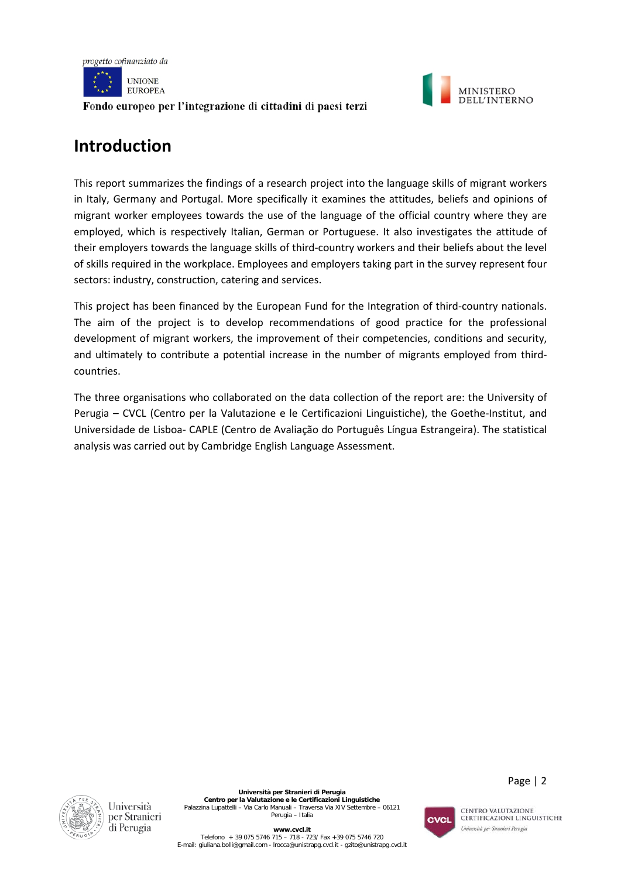



# **Introduction**

This report summarizes the findings of a research project into the language skills of migrant workers in Italy, Germany and Portugal. More specifically it examines the attitudes, beliefs and opinions of migrant worker employees towards the use of the language of the official country where they are employed, which is respectively Italian, German or Portuguese. It also investigates the attitude of their employers towards the language skills of third-country workers and their beliefs about the level of skills required in the workplace. Employees and employers taking part in the survey represent four sectors: industry, construction, catering and services.

This project has been financed by the European Fund for the Integration of third-country nationals. The aim of the project is to develop recommendations of good practice for the professional development of migrant workers, the improvement of their competencies, conditions and security, and ultimately to contribute a potential increase in the number of migrants employed from thirdcountries.

The three organisations who collaborated on the data collection of the report are: the University of Perugia – CVCL (Centro per la Valutazione e le Certificazioni Linguistiche), the Goethe-Institut, and Universidade de Lisboa- CAPLE (Centro de Avaliação do Português Língua Estrangeira). The statistical analysis was carried out by Cambridge English Language Assessment.





Page | 2

CENTRO VALUTAZIONE **CERTIFICAZIONI LINGUISTICHE** Università per Stranieri Perugia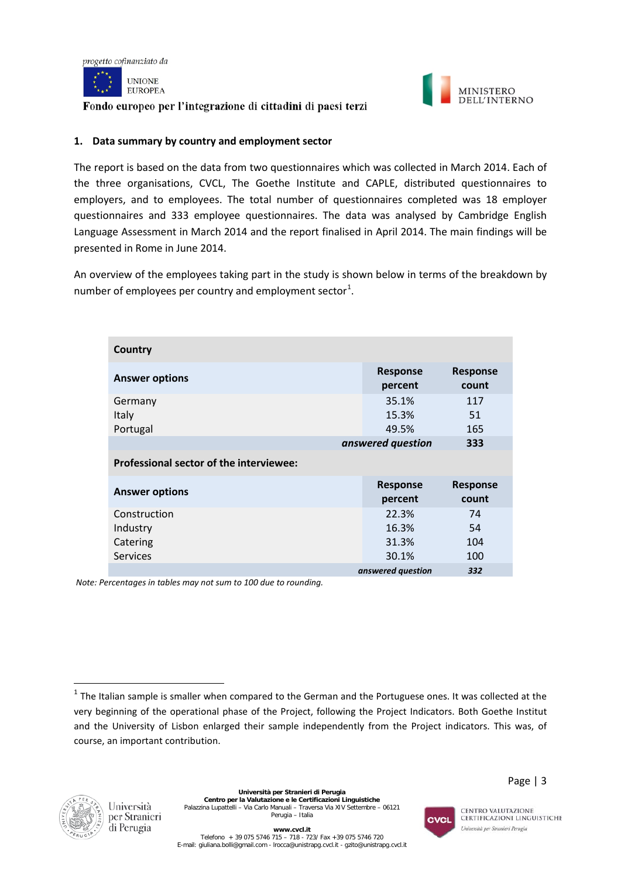



#### **1. Data summary by country and employment sector**

The report is based on the data from two questionnaires which was collected in March 2014. Each of the three organisations, CVCL, The Goethe Institute and CAPLE, distributed questionnaires to employers, and to employees. The total number of questionnaires completed was 18 employer questionnaires and 333 employee questionnaires. The data was analysed by Cambridge English Language Assessment in March 2014 and the report finalised in April 2014. The main findings will be presented in Rome in June 2014.

An overview of the employees taking part in the study is shown below in terms of the breakdown by number of employees per country and employment sector<sup>[1](#page-4-0)</sup>.

| Country                                 |                            |                          |  |  |  |
|-----------------------------------------|----------------------------|--------------------------|--|--|--|
| <b>Answer options</b>                   | <b>Response</b><br>percent | <b>Response</b><br>count |  |  |  |
| Germany<br>Italy<br>Portugal            | 35.1%<br>15.3%<br>49.5%    | 117<br>51<br>165         |  |  |  |
|                                         | answered question          | 333                      |  |  |  |
| Professional sector of the interviewee: |                            |                          |  |  |  |
| <b>Answer options</b>                   | <b>Response</b><br>percent | <b>Response</b><br>count |  |  |  |
| Construction                            | 22.3%                      | 74                       |  |  |  |
| Industry                                | 16.3%                      | 54                       |  |  |  |
| Catering                                | 31.3%                      | 104                      |  |  |  |
| <b>Services</b>                         | 30.1%                      | 100                      |  |  |  |
|                                         | answered question          | 332                      |  |  |  |

*Note: Percentages in tables may not sum to 100 due to rounding.*



 $\overline{\phantom{a}}$ 



<span id="page-4-0"></span> $1$  The Italian sample is smaller when compared to the German and the Portuguese ones. It was collected at the very beginning of the operational phase of the Project, following the Project Indicators. Both Goethe Institut and the University of Lisbon enlarged their sample independently from the Project indicators. This was, of course, an important contribution.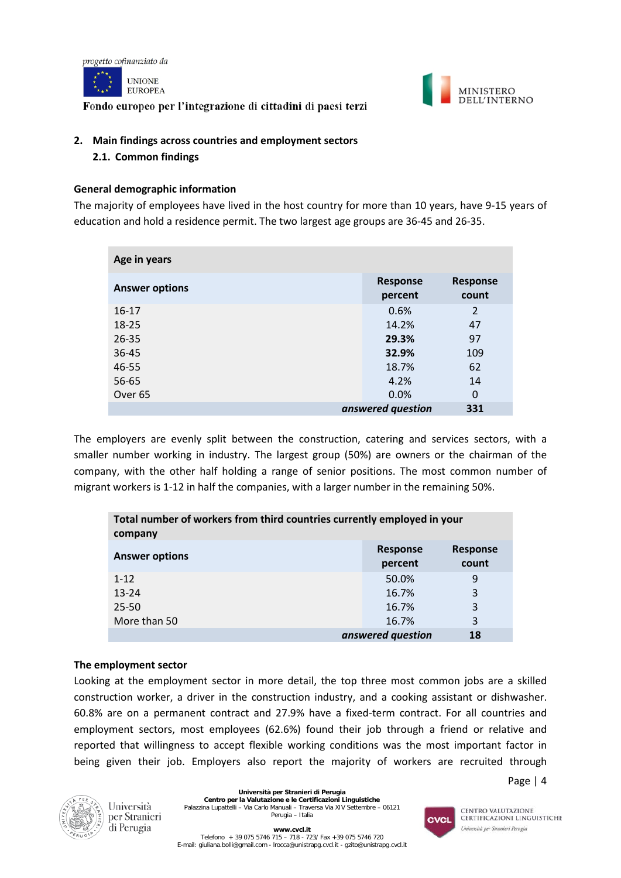



# **2. Main findings across countries and employment sectors**

**2.1. Common findings**

# **General demographic information**

The majority of employees have lived in the host country for more than 10 years, have 9-15 years of education and hold a residence permit. The two largest age groups are 36-45 and 26-35.

| Age in years          |                            |                          |
|-----------------------|----------------------------|--------------------------|
| <b>Answer options</b> | <b>Response</b><br>percent | <b>Response</b><br>count |
| $16-17$               | 0.6%                       | $\overline{2}$           |
| 18-25                 | 14.2%                      | 47                       |
| $26 - 35$             | 29.3%                      | 97                       |
| $36 - 45$             | 32.9%                      | 109                      |
| 46-55                 | 18.7%                      | 62                       |
| 56-65                 | 4.2%                       | 14                       |
| Over <sub>65</sub>    | 0.0%                       | $\Omega$                 |
|                       | answered question          | 331                      |

The employers are evenly split between the construction, catering and services sectors, with a smaller number working in industry. The largest group (50%) are owners or the chairman of the company, with the other half holding a range of senior positions. The most common number of migrant workers is 1-12 in half the companies, with a larger number in the remaining 50%.

| Total number of workers from third countries currently employed in your<br>company |                            |                          |
|------------------------------------------------------------------------------------|----------------------------|--------------------------|
| <b>Answer options</b>                                                              | <b>Response</b><br>percent | <b>Response</b><br>count |
| $1 - 12$                                                                           | 50.0%                      | 9                        |
| $13 - 24$                                                                          | 16.7%                      | 3                        |
| $25 - 50$                                                                          | 16.7%                      | 3                        |
| More than 50                                                                       | 16.7%                      | 3                        |
|                                                                                    | answered question          | 18                       |

# **The employment sector**

Looking at the employment sector in more detail, the top three most common jobs are a skilled construction worker, a driver in the construction industry, and a cooking assistant or dishwasher. 60.8% are on a permanent contract and 27.9% have a fixed-term contract. For all countries and employment sectors, most employees (62.6%) found their job through a friend or relative and reported that willingness to accept flexible working conditions was the most important factor in being given their job. Employers also report the majority of workers are recruited through





Università per Stranieri di Perugia

**Università per Stranieri di Perugia Centro per la Valutazione e le Certificazioni Linguistiche** Palazzina Lupattelli – Via Carlo Manuali – Traversa Via XIV Settembre – 06121 Perugia – Italia

E-mail[: giuliana.bolli@gmail.com](mailto:giuliana.bolli@gmail.com) - lrocca@unistrapg.cvcl.it - [gzito@unistrapg.cvcl.it](mailto:gzito@unistrapg.cvcl.it)

**www.cvcl.it**  Telefono + 39 075 5746 715 – 718 - 723/ Fax +39 075 5746 720

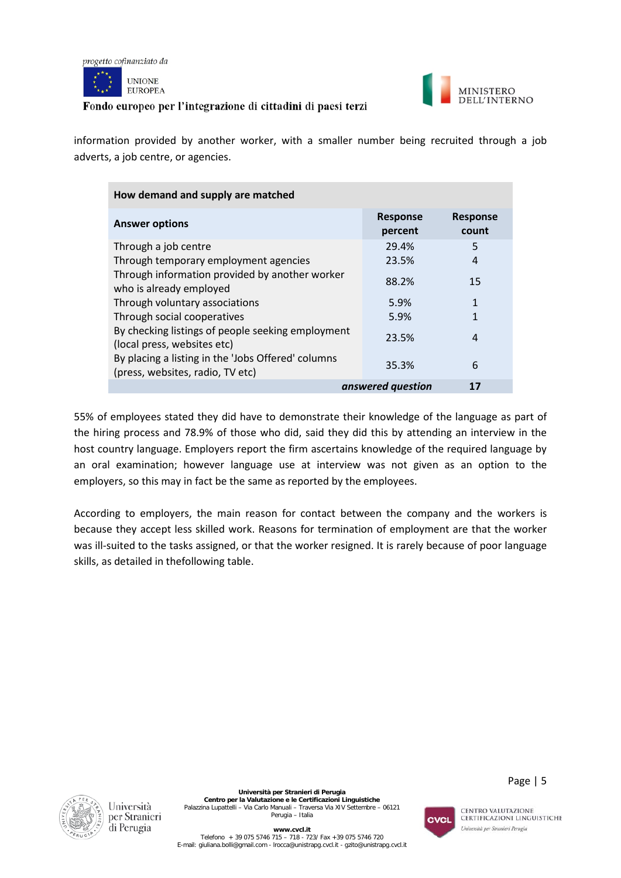



information provided by another worker, with a smaller number being recruited through a job adverts, a job centre, or agencies.

| How demand and supply are matched                                                      |                            |                          |
|----------------------------------------------------------------------------------------|----------------------------|--------------------------|
| <b>Answer options</b>                                                                  | <b>Response</b><br>percent | <b>Response</b><br>count |
| Through a job centre                                                                   | 29.4%                      | 5                        |
| Through temporary employment agencies                                                  | 23.5%                      | 4                        |
| Through information provided by another worker<br>who is already employed              | 88.2%                      | 15                       |
| Through voluntary associations                                                         | 5.9%                       | $\mathbf{1}$             |
| Through social cooperatives                                                            | 5.9%                       | $\mathbf{1}$             |
| By checking listings of people seeking employment<br>(local press, websites etc)       | 23.5%                      | 4                        |
| By placing a listing in the 'Jobs Offered' columns<br>(press, websites, radio, TV etc) | 35.3%                      | 6                        |
|                                                                                        | answered question          | 17                       |

55% of employees stated they did have to demonstrate their knowledge of the language as part of the hiring process and 78.9% of those who did, said they did this by attending an interview in the host country language. Employers report the firm ascertains knowledge of the required language by an oral examination; however language use at interview was not given as an option to the employers, so this may in fact be the same as reported by the employees.

According to employers, the main reason for contact between the company and the workers is because they accept less skilled work. Reasons for termination of employment are that the worker was ill-suited to the tasks assigned, or that the worker resigned. It is rarely because of poor language skills, as detailed in thefollowing table.





Page | 5

CENTRO VALUTAZIONE **CERTIFICAZIONI LINGUISTICHE** Università per Stranieri Perugia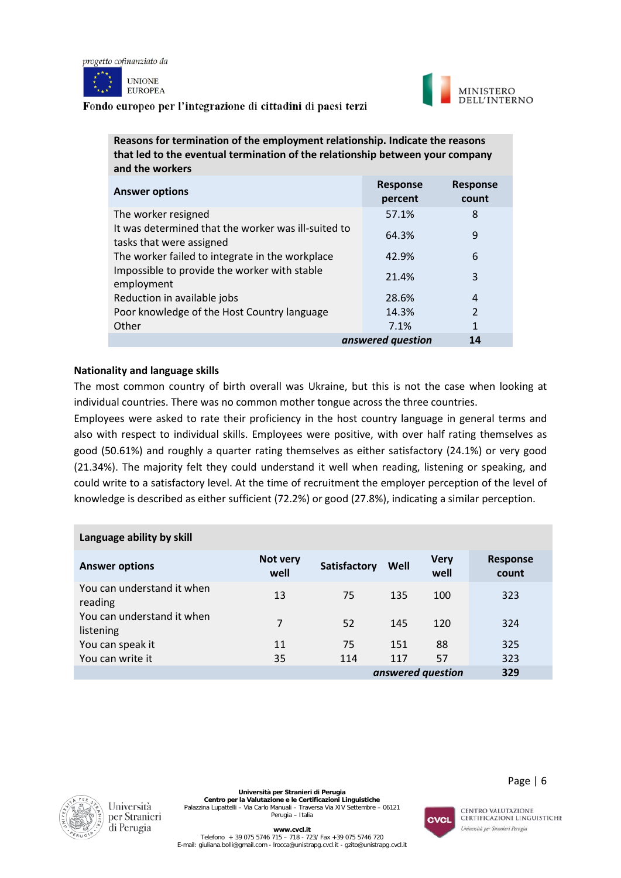





| Reasons for termination of the employment relationship. Indicate the reasons<br>that led to the eventual termination of the relationship between your company<br>and the workers |                            |                          |
|----------------------------------------------------------------------------------------------------------------------------------------------------------------------------------|----------------------------|--------------------------|
| <b>Answer options</b>                                                                                                                                                            | <b>Response</b><br>percent | <b>Response</b><br>count |
| The worker resigned                                                                                                                                                              | 57.1%                      | 8                        |
| It was determined that the worker was ill-suited to<br>tasks that were assigned                                                                                                  | 64.3%                      | 9                        |
| The worker failed to integrate in the workplace                                                                                                                                  | 42.9%                      | 6                        |
| Impossible to provide the worker with stable<br>employment                                                                                                                       | 21.4%                      | 3                        |
| Reduction in available jobs                                                                                                                                                      | 28.6%                      | 4                        |
| Poor knowledge of the Host Country language                                                                                                                                      | 14.3%                      | $\overline{2}$           |

# **Nationality and language skills**

The most common country of birth overall was Ukraine, but this is not the case when looking at individual countries. There was no common mother tongue across the three countries.

*answered question* **14**

Other 2012 **1** 2.1% 1

Employees were asked to rate their proficiency in the host country language in general terms and also with respect to individual skills. Employees were positive, with over half rating themselves as good (50.61%) and roughly a quarter rating themselves as either satisfactory (24.1%) or very good (21.34%). The majority felt they could understand it well when reading, listening or speaking, and could write to a satisfactory level. At the time of recruitment the employer perception of the level of knowledge is described as either sufficient (72.2%) or good (27.8%), indicating a similar perception.

| Language ability by skill               |                  |              |      |                     |                          |
|-----------------------------------------|------------------|--------------|------|---------------------|--------------------------|
| <b>Answer options</b>                   | Not very<br>well | Satisfactory | Well | <b>Very</b><br>well | <b>Response</b><br>count |
| You can understand it when<br>reading   | 13               | 75           | 135  | 100                 | 323                      |
| You can understand it when<br>listening | 7                | 52           | 145  | 120                 | 324                      |
| You can speak it                        | 11               | 75           | 151  | 88                  | 325                      |
| You can write it                        | 35               | 114          | 117  | 57                  | 323                      |
|                                         |                  |              |      | answered question   | 329                      |



**Università per Stranieri di Perugia Centro per la Valutazione e le Certificazioni Linguistiche** Palazzina Lupattelli – Via Carlo Manuali – Traversa Via XIV Settembre – 06121 Perugia – Italia



CENTRO VALUTAZIONE **CERTIFICAZIONI LINGUISTICHE** Università per Stranieri Perugia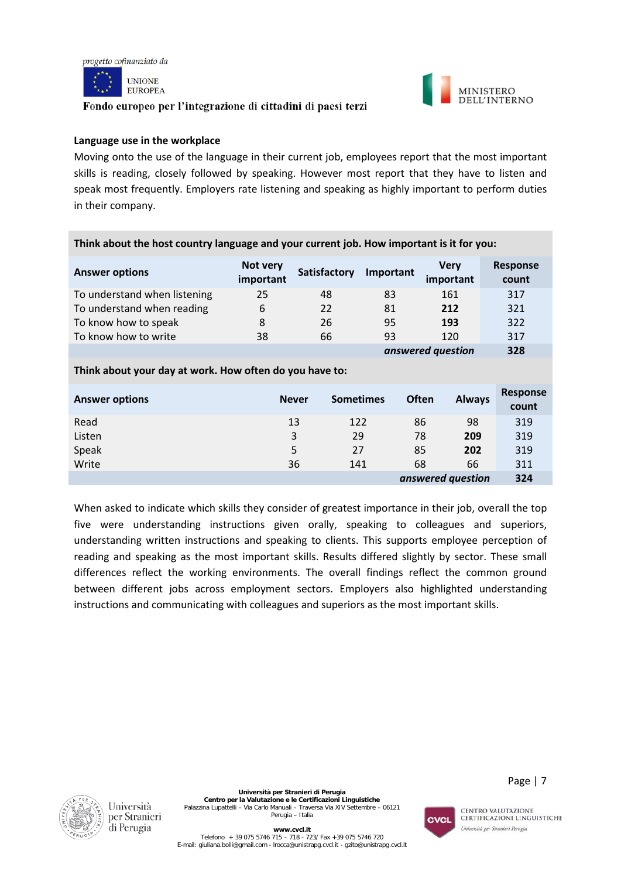

**UNIONE EUROPEA** 

# Fondo europeo per l'integrazione di cittadini di paesi terzi



# **Language use in the workplace**

Moving onto the use of the language in their current job, employees report that the most important skills is reading, closely followed by speaking. However most report that they have to listen and speak most frequently. Employers rate listening and speaking as highly important to perform duties in their company.

| <b>Answer options</b>        | Not very<br>important | <b>Satisfactory</b> | Important | <b>Very</b><br>important | <b>Response</b><br>count |
|------------------------------|-----------------------|---------------------|-----------|--------------------------|--------------------------|
| To understand when listening | 25                    | 48                  | 83        | 161                      | 317                      |
| To understand when reading   | 6                     | 22                  | 81        | 212                      | 321                      |
| To know how to speak         | 8                     | 26                  | 95        | 193                      | 322                      |
| To know how to write         | 38                    | 66                  | 93        | 120                      | 317                      |
|                              |                       |                     |           | answered question        | 328                      |

**Think about the host country language and your current job. How important is it for you:**

#### **Think about your day at work. How often do you have to:**

| <b>Answer options</b> | <b>Never</b> | <b>Sometimes</b> | Often             | <b>Always</b> | Response<br>count |
|-----------------------|--------------|------------------|-------------------|---------------|-------------------|
| Read                  | 13           | 122              | 86                | 98            | 319               |
| Listen                | 3            | 29               | 78                | 209           | 319               |
| Speak                 | 5            | 27               | 85                | 202           | 319               |
| Write                 | 36           | 141              | 68                | 66            | 311               |
|                       |              |                  | answered question |               | 324               |

When asked to indicate which skills they consider of greatest importance in their job, overall the top five were understanding instructions given orally, speaking to colleagues and superiors, understanding written instructions and speaking to clients. This supports employee perception of reading and speaking as the most important skills. Results differed slightly by sector. These small differences reflect the working environments. The overall findings reflect the common ground between different jobs across employment sectors. Employers also highlighted understanding instructions and communicating with colleagues and superiors as the most important skills.





CENTRO VALUTAZIONE **CERTIFICAZIONI LINGUISTICHE** 

Università per Stranieri Perugia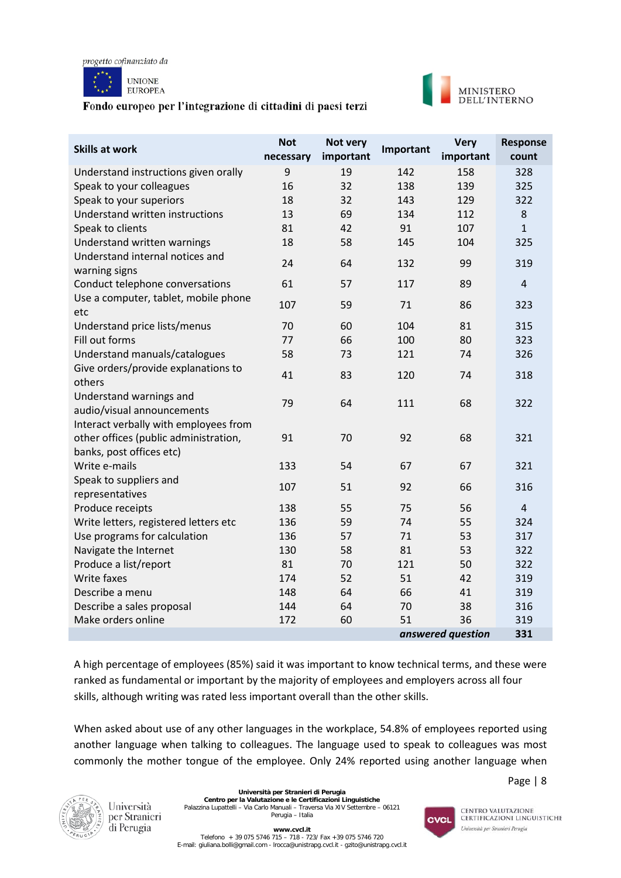



| <b>Skills at work</b>                                                                                      | <b>Not</b><br>necessary | Not very<br>important | Important | <b>Very</b><br>important | Response<br>count |
|------------------------------------------------------------------------------------------------------------|-------------------------|-----------------------|-----------|--------------------------|-------------------|
| Understand instructions given orally                                                                       | 9                       | 19                    | 142       | 158                      | 328               |
| Speak to your colleagues                                                                                   | 16                      | 32                    | 138       | 139                      | 325               |
| Speak to your superiors                                                                                    | 18                      | 32                    | 143       | 129                      | 322               |
| Understand written instructions                                                                            | 13                      | 69                    | 134       | 112                      | $\,8\,$           |
| Speak to clients                                                                                           | 81                      | 42                    | 91        | 107                      | $\mathbf{1}$      |
| Understand written warnings                                                                                | 18                      | 58                    | 145       | 104                      | 325               |
| Understand internal notices and<br>warning signs                                                           | 24                      | 64                    | 132       | 99                       | 319               |
| Conduct telephone conversations                                                                            | 61                      | 57                    | 117       | 89                       | $\overline{4}$    |
| Use a computer, tablet, mobile phone<br>etc                                                                | 107                     | 59                    | 71        | 86                       | 323               |
| Understand price lists/menus                                                                               | 70                      | 60                    | 104       | 81                       | 315               |
| Fill out forms                                                                                             | 77                      | 66                    | 100       | 80                       | 323               |
| Understand manuals/catalogues                                                                              | 58                      | 73                    | 121       | 74                       | 326               |
| Give orders/provide explanations to<br>others                                                              | 41                      | 83                    | 120       | 74                       | 318               |
| Understand warnings and<br>audio/visual announcements                                                      | 79                      | 64                    | 111       | 68                       | 322               |
| Interact verbally with employees from<br>other offices (public administration,<br>banks, post offices etc) | 91                      | 70                    | 92        | 68                       | 321               |
| Write e-mails                                                                                              | 133                     | 54                    | 67        | 67                       | 321               |
| Speak to suppliers and<br>representatives                                                                  | 107                     | 51                    | 92        | 66                       | 316               |
| Produce receipts                                                                                           | 138                     | 55                    | 75        | 56                       | $\overline{4}$    |
| Write letters, registered letters etc                                                                      | 136                     | 59                    | 74        | 55                       | 324               |
| Use programs for calculation                                                                               | 136                     | 57                    | 71        | 53                       | 317               |
| Navigate the Internet                                                                                      | 130                     | 58                    | 81        | 53                       | 322               |
| Produce a list/report                                                                                      | 81                      | 70                    | 121       | 50                       | 322               |
| Write faxes                                                                                                | 174                     | 52                    | 51        | 42                       | 319               |
| Describe a menu                                                                                            | 148                     | 64                    | 66        | 41                       | 319               |
| Describe a sales proposal                                                                                  | 144                     | 64                    | 70        | 38                       | 316               |
| Make orders online                                                                                         | 172                     | 60                    | 51        | 36                       | 319               |
|                                                                                                            |                         |                       |           | answered question        | 331               |

A high percentage of employees (85%) said it was important to know technical terms, and these were ranked as fundamental or important by the majority of employees and employers across all four skills, although writing was rated less important overall than the other skills.

When asked about use of any other languages in the workplace, 54.8% of employees reported using another language when talking to colleagues. The language used to speak to colleagues was most commonly the mother tongue of the employee. Only 24% reported using another language when



Università per Stranieri di Perugia

**Università per Stranieri di Perugia Centro per la Valutazione e le Certificazioni Linguistiche** Palazzina Lupattelli – Via Carlo Manuali – Traversa Via XIV Settembre – 06121 Perugia – Italia

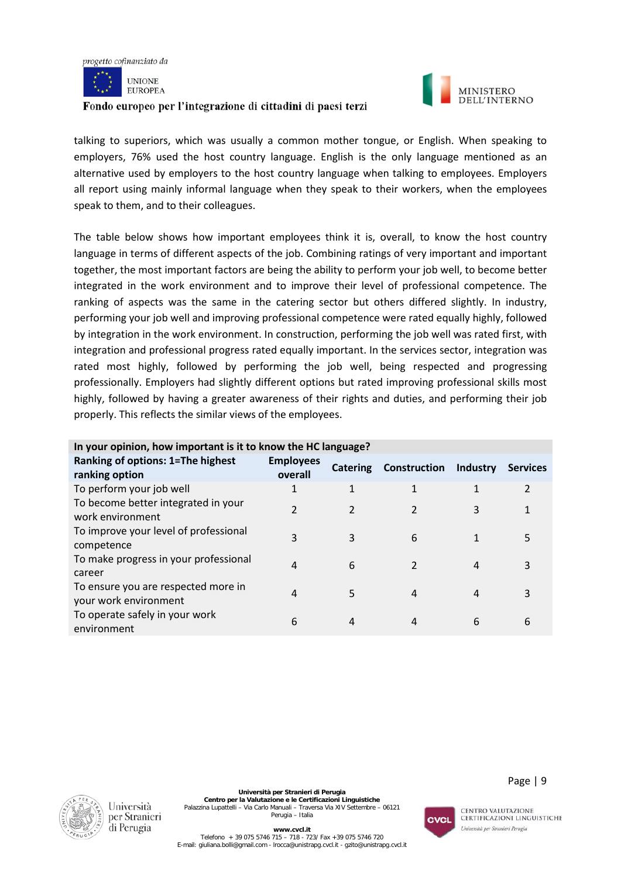



talking to superiors, which was usually a common mother tongue, or English. When speaking to employers, 76% used the host country language. English is the only language mentioned as an alternative used by employers to the host country language when talking to employees. Employers all report using mainly informal language when they speak to their workers, when the employees speak to them, and to their colleagues.

The table below shows how important employees think it is, overall, to know the host country language in terms of different aspects of the job. Combining ratings of very important and important together, the most important factors are being the ability to perform your job well, to become better integrated in the work environment and to improve their level of professional competence. The ranking of aspects was the same in the catering sector but others differed slightly. In industry, performing your job well and improving professional competence were rated equally highly, followed by integration in the work environment. In construction, performing the job well was rated first, with integration and professional progress rated equally important. In the services sector, integration was rated most highly, followed by performing the job well, being respected and progressing professionally. Employers had slightly different options but rated improving professional skills most highly, followed by having a greater awareness of their rights and duties, and performing their job properly. This reflects the similar views of the employees.

| Ranking of options: 1=The highest<br>ranking option          | <b>Employees</b><br>overall | <b>Catering</b> | <b>Construction</b> | Industry | <b>Services</b> |
|--------------------------------------------------------------|-----------------------------|-----------------|---------------------|----------|-----------------|
| To perform your job well                                     | $\mathbf{1}$                |                 |                     |          | $\mathcal{P}$   |
| To become better integrated in your<br>work environment      | 2                           |                 | $\overline{2}$      | 3        |                 |
| To improve your level of professional<br>competence          | 3                           | 3               | 6                   |          | 5               |
| To make progress in your professional<br>career              | 4                           | 6               | 2                   | 4        | 3               |
| To ensure you are respected more in<br>your work environment | 4                           | 5               | 4                   | 4        | 3               |
| To operate safely in your work<br>environment                | 6                           | 4               | 4                   | 6        | 6               |

#### **In your opinion, how important is it to know the HC language?**



**Università per Stranieri di Perugia Centro per la Valutazione e le Certificazioni Linguistiche** Palazzina Lupattelli – Via Carlo Manuali – Traversa Via XIV Settembre – 06121 Perugia – Italia



CENTRO VALUTAZIONE **CERTIFICAZIONI LINGUISTICHE** Università per Stranieri Perugia

Page | 9

**www.cvcl.it**  Telefono + 39 075 5746 715 – 718 - 723/ Fax +39 075 5746 720 E-mail[: giuliana.bolli@gmail.com](mailto:giuliana.bolli@gmail.com) - lrocca@unistrapg.cvcl.it - [gzito@unistrapg.cvcl.it](mailto:gzito@unistrapg.cvcl.it)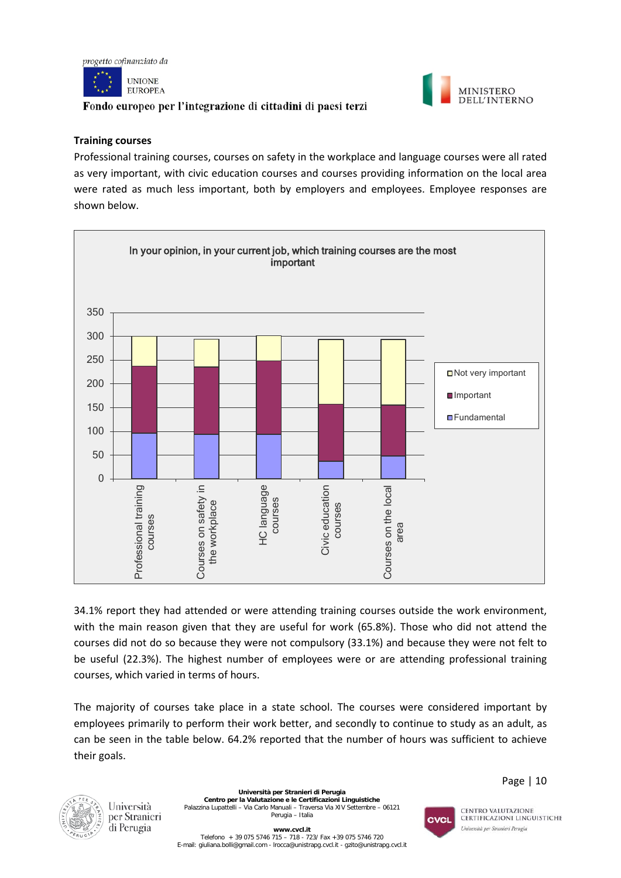



#### **Training courses**

Professional training courses, courses on safety in the workplace and language courses were all rated as very important, with civic education courses and courses providing information on the local area were rated as much less important, both by employers and employees. Employee responses are shown below.



34.1% report they had attended or were attending training courses outside the work environment, with the main reason given that they are useful for work (65.8%). Those who did not attend the courses did not do so because they were not compulsory (33.1%) and because they were not felt to be useful (22.3%). The highest number of employees were or are attending professional training courses, which varied in terms of hours.

The majority of courses take place in a state school. The courses were considered important by employees primarily to perform their work better, and secondly to continue to study as an adult, as can be seen in the table below. 64.2% reported that the number of hours was sufficient to achieve their goals.



Università per Stranieri di Perugia

**Università per Stranieri di Perugia Centro per la Valutazione e le Certificazioni Linguistiche** Palazzina Lupattelli – Via Carlo Manuali – Traversa Via XIV Settembre – 06121 Perugia – Italia



CENTRO VALUTAZIONE **CERTIFICAZIONI LINGUISTICHE** Università per Stranieri Perugia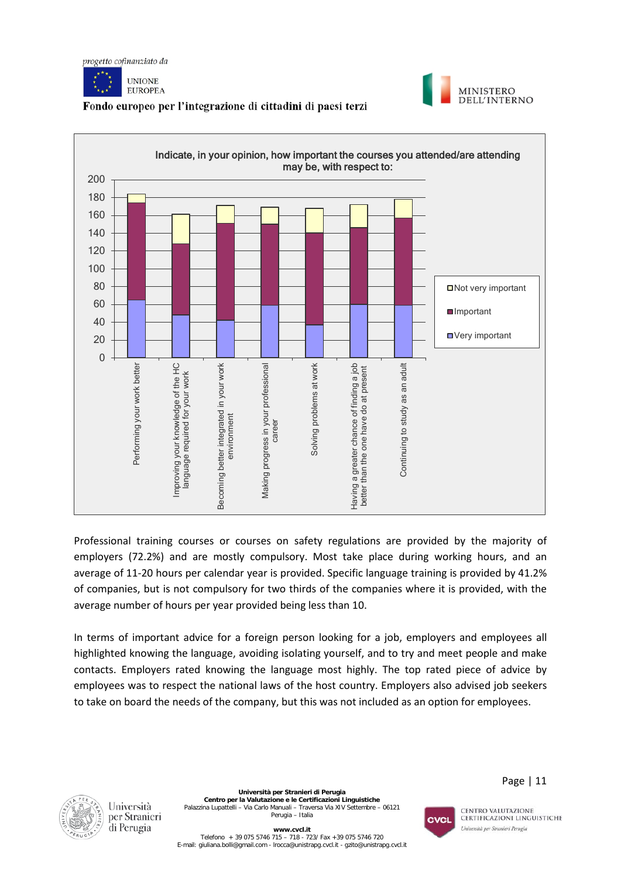







Professional training courses or courses on safety regulations are provided by the majority of employers (72.2%) and are mostly compulsory. Most take place during working hours, and an average of 11-20 hours per calendar year is provided. Specific language training is provided by 41.2% of companies, but is not compulsory for two thirds of the companies where it is provided, with the average number of hours per year provided being less than 10.

In terms of important advice for a foreign person looking for a job, employers and employees all highlighted knowing the language, avoiding isolating yourself, and to try and meet people and make contacts. Employers rated knowing the language most highly. The top rated piece of advice by employees was to respect the national laws of the host country. Employers also advised job seekers to take on board the needs of the company, but this was not included as an option for employees.



Università

di Perugia

per Stranieri

**Università per Stranieri di Perugia Centro per la Valutazione e le Certificazioni Linguistiche** Palazzina Lupattelli – Via Carlo Manuali – Traversa Via XIV Settembre – 06121 Perugia – Italia



CENTRO VALUTAZIONE **CERTIFICAZIONI LINGUISTICHE** 

Università per Stranieri Perugia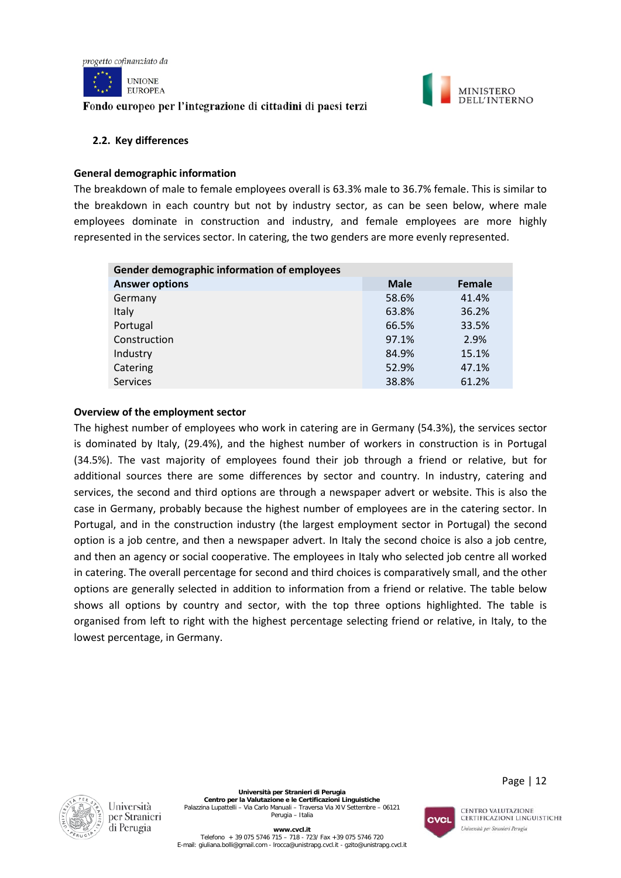



#### **2.2. Key differences**

#### **General demographic information**

The breakdown of male to female employees overall is 63.3% male to 36.7% female. This is similar to the breakdown in each country but not by industry sector, as can be seen below, where male employees dominate in construction and industry, and female employees are more highly represented in the services sector. In catering, the two genders are more evenly represented.

| Gender demographic information of employees |             |        |  |  |  |  |
|---------------------------------------------|-------------|--------|--|--|--|--|
| <b>Answer options</b>                       | <b>Male</b> | Female |  |  |  |  |
| Germany                                     | 58.6%       | 41.4%  |  |  |  |  |
| Italy                                       | 63.8%       | 36.2%  |  |  |  |  |
| Portugal                                    | 66.5%       | 33.5%  |  |  |  |  |
| Construction                                | 97.1%       | 2.9%   |  |  |  |  |
| Industry                                    | 84.9%       | 15.1%  |  |  |  |  |
| Catering                                    | 52.9%       | 47.1%  |  |  |  |  |
| <b>Services</b>                             | 38.8%       | 61.2%  |  |  |  |  |

#### **Overview of the employment sector**

The highest number of employees who work in catering are in Germany (54.3%), the services sector is dominated by Italy, (29.4%), and the highest number of workers in construction is in Portugal (34.5%). The vast majority of employees found their job through a friend or relative, but for additional sources there are some differences by sector and country. In industry, catering and services, the second and third options are through a newspaper advert or website. This is also the case in Germany, probably because the highest number of employees are in the catering sector. In Portugal, and in the construction industry (the largest employment sector in Portugal) the second option is a job centre, and then a newspaper advert. In Italy the second choice is also a job centre, and then an agency or social cooperative. The employees in Italy who selected job centre all worked in catering. The overall percentage for second and third choices is comparatively small, and the other options are generally selected in addition to information from a friend or relative. The table below shows all options by country and sector, with the top three options highlighted. The table is organised from left to right with the highest percentage selecting friend or relative, in Italy, to the lowest percentage, in Germany.



Università

di Perugia



CENTRO VALUTAZIONE **CERTIFICAZIONI LINGUISTICHE** Università per Stranieri Perugia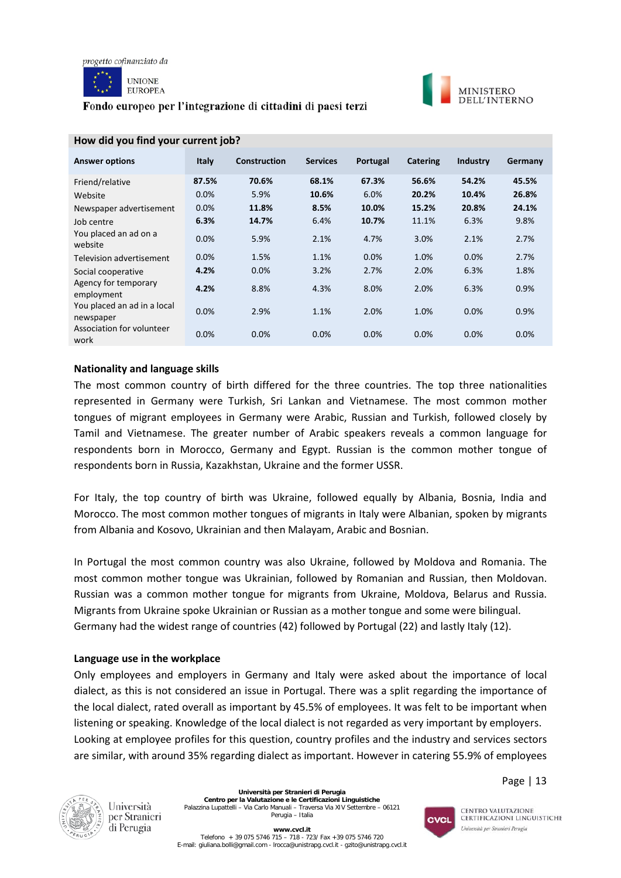





#### **MINISTERO** DELL'INTERNO

| <b>Answer options</b>                    | <b>Italy</b> | <b>Construction</b> | <b>Services</b> | Portugal | <b>Catering</b> | <b>Industry</b> | Germany |
|------------------------------------------|--------------|---------------------|-----------------|----------|-----------------|-----------------|---------|
| Friend/relative                          | 87.5%        | 70.6%               | 68.1%           | 67.3%    | 56.6%           | 54.2%           | 45.5%   |
| Website                                  | $0.0\%$      | 5.9%                | 10.6%           | 6.0%     | 20.2%           | 10.4%           | 26.8%   |
| Newspaper advertisement                  | 0.0%         | 11.8%               | 8.5%            | 10.0%    | 15.2%           | 20.8%           | 24.1%   |
| Job centre                               | 6.3%         | 14.7%               | 6.4%            | 10.7%    | 11.1%           | 6.3%            | 9.8%    |
| You placed an ad on a<br>website         | 0.0%         | 5.9%                | 2.1%            | 4.7%     | 3.0%            | 2.1%            | 2.7%    |
| Television advertisement                 | 0.0%         | 1.5%                | 1.1%            | 0.0%     | 1.0%            | 0.0%            | 2.7%    |
| Social cooperative                       | 4.2%         | 0.0%                | 3.2%            | 2.7%     | 2.0%            | 6.3%            | 1.8%    |
| Agency for temporary<br>employment       | 4.2%         | 8.8%                | 4.3%            | 8.0%     | 2.0%            | 6.3%            | 0.9%    |
| You placed an ad in a local<br>newspaper | 0.0%         | 2.9%                | 1.1%            | 2.0%     | 1.0%            | 0.0%            | 0.9%    |
| Association for volunteer<br>work        | 0.0%         | 0.0%                | 0.0%            | 0.0%     | 0.0%            | 0.0%            | 0.0%    |

## **How did you find your current job?**

#### **Nationality and language skills**

The most common country of birth differed for the three countries. The top three nationalities represented in Germany were Turkish, Sri Lankan and Vietnamese. The most common mother tongues of migrant employees in Germany were Arabic, Russian and Turkish, followed closely by Tamil and Vietnamese. The greater number of Arabic speakers reveals a common language for respondents born in Morocco, Germany and Egypt. Russian is the common mother tongue of respondents born in Russia, Kazakhstan, Ukraine and the former USSR.

For Italy, the top country of birth was Ukraine, followed equally by Albania, Bosnia, India and Morocco. The most common mother tongues of migrants in Italy were Albanian, spoken by migrants from Albania and Kosovo, Ukrainian and then Malayam, Arabic and Bosnian.

In Portugal the most common country was also Ukraine, followed by Moldova and Romania. The most common mother tongue was Ukrainian, followed by Romanian and Russian, then Moldovan. Russian was a common mother tongue for migrants from Ukraine, Moldova, Belarus and Russia. Migrants from Ukraine spoke Ukrainian or Russian as a mother tongue and some were bilingual. Germany had the widest range of countries (42) followed by Portugal (22) and lastly Italy (12).

#### **Language use in the workplace**

Only employees and employers in Germany and Italy were asked about the importance of local dialect, as this is not considered an issue in Portugal. There was a split regarding the importance of the local dialect, rated overall as important by 45.5% of employees. It was felt to be important when listening or speaking. Knowledge of the local dialect is not regarded as very important by employers. Looking at employee profiles for this question, country profiles and the industry and services sectors are similar, with around 35% regarding dialect as important. However in catering 55.9% of employees



Università per Stranieri di Perugia

**Università per Stranieri di Perugia Centro per la Valutazione e le Certificazioni Linguistiche** Palazzina Lupattelli – Via Carlo Manuali – Traversa Via XIV Settembre – 06121 Perugia – Italia

CVCL

CENTRO VALUTAZIONE **CERTIFICAZIONI LINGUISTICHE** Università per Stranieri Perugia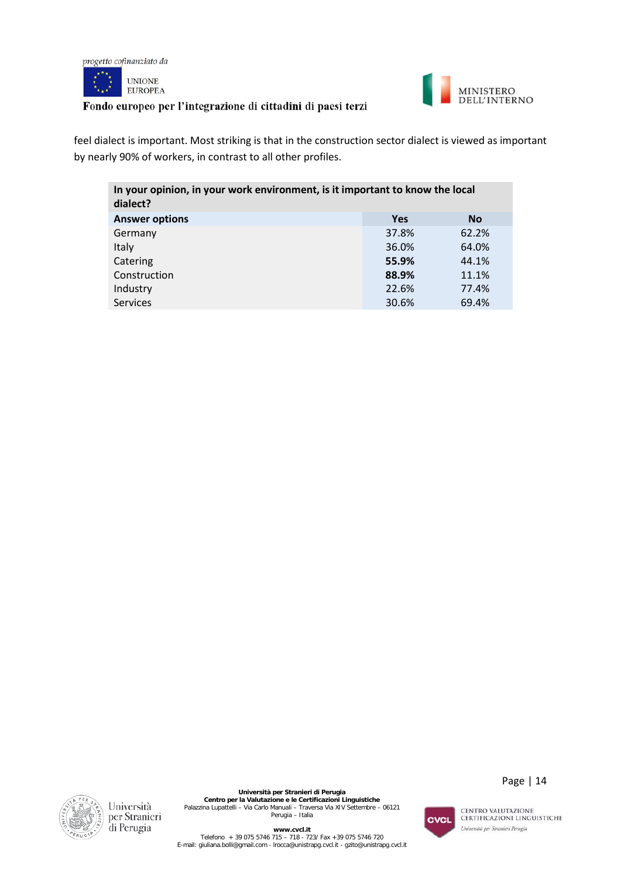



feel dialect is important. Most striking is that in the construction sector dialect is viewed as important by nearly 90% of workers, in contrast to all other profiles.

| In your opinion, in your work environment, is it important to know the local<br>dialect? |            |           |  |  |
|------------------------------------------------------------------------------------------|------------|-----------|--|--|
| <b>Answer options</b>                                                                    | <b>Yes</b> | <b>No</b> |  |  |
| Germany                                                                                  | 37.8%      | 62.2%     |  |  |
| Italy                                                                                    | 36.0%      | 64.0%     |  |  |
| Catering                                                                                 | 55.9%      | 44.1%     |  |  |
| Construction                                                                             | 88.9%      | 11.1%     |  |  |
| Industry                                                                                 | 22.6%      | 77.4%     |  |  |
| <b>Services</b>                                                                          | 30.6%      | 69.4%     |  |  |
|                                                                                          |            |           |  |  |



**Università per Stranieri di Perugia<br>Centro per la Valutazione e le Certificazioni Linguistiche<br>Palazzina Lupattelli – Via Carlo Manuali – Traversa Via XIV Settembre – 06121<br>Perugia – Italia** 

CVCL

Page | 14

CENTRO VALUTAZIONE<br>CERTIFICAZIONI LINGUISTICHE

Università per Stranieri Perugia

**www.cvcl.it**<br>Telefono + 39 075 5746 720 - 718 - 723/ Fax +39 075 5746 720<br>E-mail[: giuliana.bolli@gmail.com](mailto:giuliana.bolli@gmail.com) - lrocca@unistrapg.cvcl.it - [gzito@unistrapg.cvcl.it](mailto:gzito@unistrapg.cvcl.it)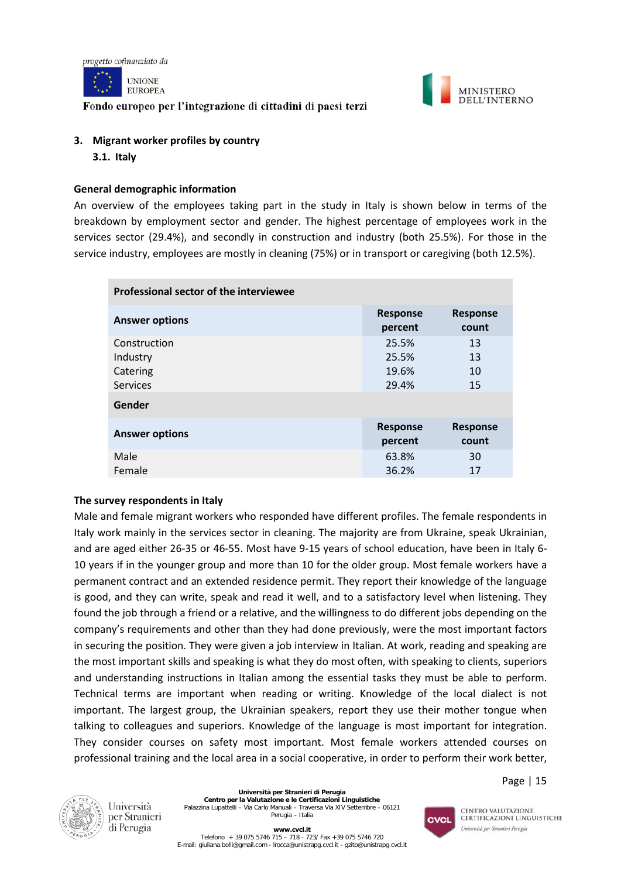



# **3. Migrant worker profiles by country 3.1. Italy**

#### **General demographic information**

An overview of the employees taking part in the study in Italy is shown below in terms of the breakdown by employment sector and gender. The highest percentage of employees work in the services sector (29.4%), and secondly in construction and industry (both 25.5%). For those in the service industry, employees are mostly in cleaning (75%) or in transport or caregiving (both 12.5%).

| Professional sector of the interviewee |                            |                          |  |  |  |
|----------------------------------------|----------------------------|--------------------------|--|--|--|
| <b>Answer options</b>                  | <b>Response</b><br>percent | <b>Response</b><br>count |  |  |  |
| Construction                           | 25.5%                      | 13                       |  |  |  |
| Industry                               | 25.5%                      | 13                       |  |  |  |
| Catering                               | 19.6%                      | 10                       |  |  |  |
| <b>Services</b>                        | 29.4%                      | 15                       |  |  |  |
| Gender                                 |                            |                          |  |  |  |
| <b>Answer options</b>                  | <b>Response</b><br>percent | <b>Response</b><br>count |  |  |  |
| Male                                   | 63.8%                      | 30                       |  |  |  |
| Female                                 | 36.2%                      | 17                       |  |  |  |

#### **The survey respondents in Italy**

Male and female migrant workers who responded have different profiles. The female respondents in Italy work mainly in the services sector in cleaning. The majority are from Ukraine, speak Ukrainian, and are aged either 26-35 or 46-55. Most have 9-15 years of school education, have been in Italy 6- 10 years if in the younger group and more than 10 for the older group. Most female workers have a permanent contract and an extended residence permit. They report their knowledge of the language is good, and they can write, speak and read it well, and to a satisfactory level when listening. They found the job through a friend or a relative, and the willingness to do different jobs depending on the company's requirements and other than they had done previously, were the most important factors in securing the position. They were given a job interview in Italian. At work, reading and speaking are the most important skills and speaking is what they do most often, with speaking to clients, superiors and understanding instructions in Italian among the essential tasks they must be able to perform. Technical terms are important when reading or writing. Knowledge of the local dialect is not important. The largest group, the Ukrainian speakers, report they use their mother tongue when talking to colleagues and superiors. Knowledge of the language is most important for integration. They consider courses on safety most important. Most female workers attended courses on professional training and the local area in a social cooperative, in order to perform their work better,



Università per Stranieri di Perugia

**Università per Stranieri di Perugia Centro per la Valutazione e le Certificazioni Linguistiche** Palazzina Lupattelli – Via Carlo Manuali – Traversa Via XIV Settembre – 06121 Perugia – Italia



CENTRO VALUTAZIONE **CERTIFICAZIONI LINGUISTICHE** Università per Stranieri Perugia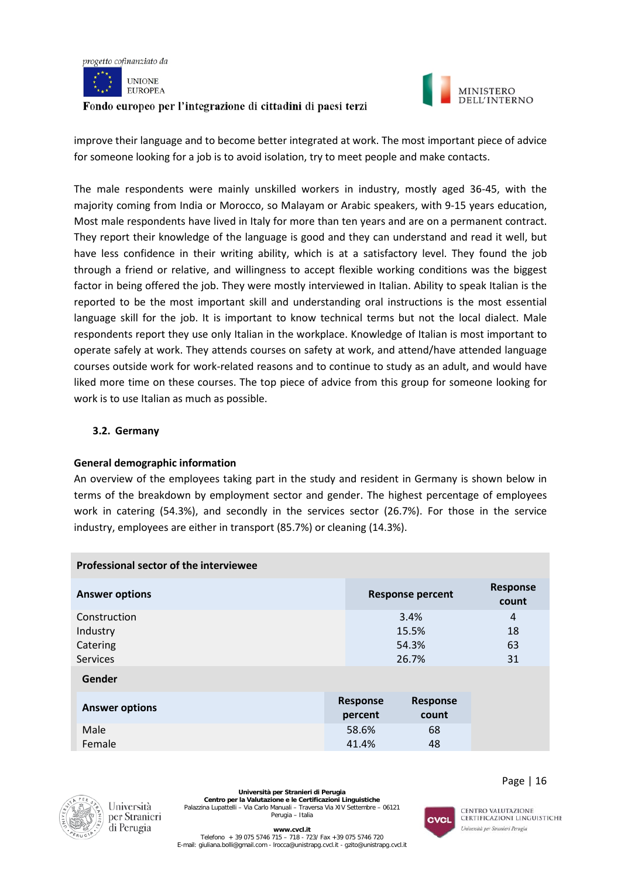



improve their language and to become better integrated at work. The most important piece of advice for someone looking for a job is to avoid isolation, try to meet people and make contacts.

The male respondents were mainly unskilled workers in industry, mostly aged 36-45, with the majority coming from India or Morocco, so Malayam or Arabic speakers, with 9-15 years education, Most male respondents have lived in Italy for more than ten years and are on a permanent contract. They report their knowledge of the language is good and they can understand and read it well, but have less confidence in their writing ability, which is at a satisfactory level. They found the job through a friend or relative, and willingness to accept flexible working conditions was the biggest factor in being offered the job. They were mostly interviewed in Italian. Ability to speak Italian is the reported to be the most important skill and understanding oral instructions is the most essential language skill for the job. It is important to know technical terms but not the local dialect. Male respondents report they use only Italian in the workplace. Knowledge of Italian is most important to operate safely at work. They attends courses on safety at work, and attend/have attended language courses outside work for work-related reasons and to continue to study as an adult, and would have liked more time on these courses. The top piece of advice from this group for someone looking for work is to use Italian as much as possible.

#### **3.2. Germany**

#### **General demographic information**

An overview of the employees taking part in the study and resident in Germany is shown below in terms of the breakdown by employment sector and gender. The highest percentage of employees work in catering (54.3%), and secondly in the services sector (26.7%). For those in the service industry, employees are either in transport (85.7%) or cleaning (14.3%).

| Professional sector of the interviewee |  |                            |                          |                          |  |
|----------------------------------------|--|----------------------------|--------------------------|--------------------------|--|
| <b>Answer options</b>                  |  |                            | <b>Response percent</b>  | <b>Response</b><br>count |  |
| Construction                           |  |                            | 3.4%                     | 4                        |  |
| Industry                               |  |                            | 15.5%                    | 18                       |  |
| Catering                               |  |                            | 54.3%                    | 63                       |  |
| <b>Services</b>                        |  |                            | 26.7%                    | 31                       |  |
| Gender                                 |  |                            |                          |                          |  |
| <b>Answer options</b>                  |  | <b>Response</b><br>percent | <b>Response</b><br>count |                          |  |
| Male                                   |  | 58.6%                      | 68                       |                          |  |
| Female                                 |  | 41.4%                      | 48                       |                          |  |



Università per Stranieri di Perugia

**Università per Stranieri di Perugia Centro per la Valutazione e le Certificazioni Linguistiche** Palazzina Lupattelli – Via Carlo Manuali – Traversa Via XIV Settembre – 06121 Perugia – Italia

Page | 16



**CENTRO VALUTAZIONE CERTIFICAZIONI LINGUISTICHE** Università per Stranieri Perugia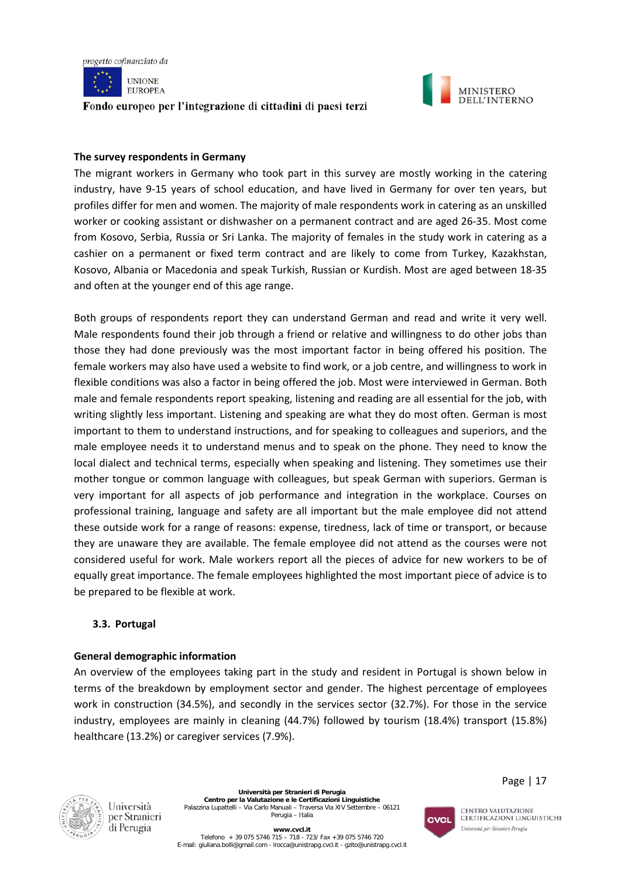



#### **The survey respondents in Germany**

The migrant workers in Germany who took part in this survey are mostly working in the catering industry, have 9-15 years of school education, and have lived in Germany for over ten years, but profiles differ for men and women. The majority of male respondents work in catering as an unskilled worker or cooking assistant or dishwasher on a permanent contract and are aged 26-35. Most come from Kosovo, Serbia, Russia or Sri Lanka. The majority of females in the study work in catering as a cashier on a permanent or fixed term contract and are likely to come from Turkey, Kazakhstan, Kosovo, Albania or Macedonia and speak Turkish, Russian or Kurdish. Most are aged between 18-35 and often at the younger end of this age range.

Both groups of respondents report they can understand German and read and write it very well. Male respondents found their job through a friend or relative and willingness to do other jobs than those they had done previously was the most important factor in being offered his position. The female workers may also have used a website to find work, or a job centre, and willingness to work in flexible conditions was also a factor in being offered the job. Most were interviewed in German. Both male and female respondents report speaking, listening and reading are all essential for the job, with writing slightly less important. Listening and speaking are what they do most often. German is most important to them to understand instructions, and for speaking to colleagues and superiors, and the male employee needs it to understand menus and to speak on the phone. They need to know the local dialect and technical terms, especially when speaking and listening. They sometimes use their mother tongue or common language with colleagues, but speak German with superiors. German is very important for all aspects of job performance and integration in the workplace. Courses on professional training, language and safety are all important but the male employee did not attend these outside work for a range of reasons: expense, tiredness, lack of time or transport, or because they are unaware they are available. The female employee did not attend as the courses were not considered useful for work. Male workers report all the pieces of advice for new workers to be of equally great importance. The female employees highlighted the most important piece of advice is to be prepared to be flexible at work.

#### **3.3. Portugal**

#### **General demographic information**

An overview of the employees taking part in the study and resident in Portugal is shown below in terms of the breakdown by employment sector and gender. The highest percentage of employees work in construction (34.5%), and secondly in the services sector (32.7%). For those in the service industry, employees are mainly in cleaning (44.7%) followed by tourism (18.4%) transport (15.8%) healthcare (13.2%) or caregiver services (7.9%).



Università per Stranieri di Perugia

**Università per Stranieri di Perugia Centro per la Valutazione e le Certificazioni Linguistiche** Palazzina Lupattelli – Via Carlo Manuali – Traversa Via XIV Settembre – 06121 Perugia – Italia



**CENTRO VALUTAZIONE** 

Page | 17

**www.cvcl.it**  Telefono + 39 075 5746 715 – 718 - 723/ Fax +39 075 5746 720 E-mail[: giuliana.bolli@gmail.com](mailto:giuliana.bolli@gmail.com) - lrocca@unistrapg.cvcl.it - [gzito@unistrapg.cvcl.it](mailto:gzito@unistrapg.cvcl.it) **CERTIFICAZIONI LINGUISTICHE** Università per Stranieri Perugia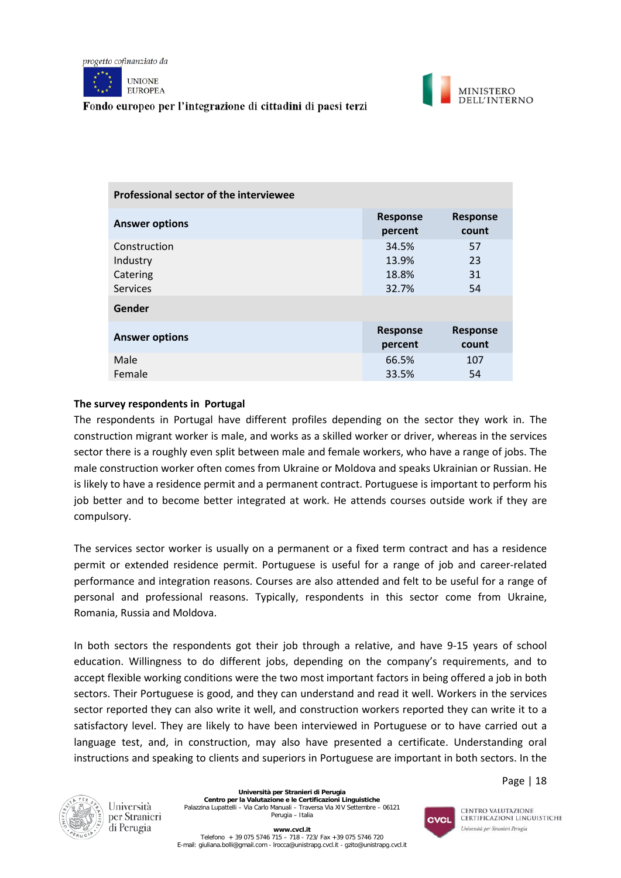





| Professional sector of the interviewee                  |                                  |                          |  |  |  |
|---------------------------------------------------------|----------------------------------|--------------------------|--|--|--|
| <b>Answer options</b>                                   | <b>Response</b><br>percent       | <b>Response</b><br>count |  |  |  |
| Construction<br>Industry<br>Catering<br><b>Services</b> | 34.5%<br>13.9%<br>18.8%<br>32.7% | 57<br>23<br>31<br>54     |  |  |  |
| Gender                                                  |                                  |                          |  |  |  |
| <b>Answer options</b>                                   | <b>Response</b><br>percent       | <b>Response</b><br>count |  |  |  |
| Male<br>Female                                          | 66.5%<br>33.5%                   | 107<br>54                |  |  |  |

#### **The survey respondents in Portugal**

The respondents in Portugal have different profiles depending on the sector they work in. The construction migrant worker is male, and works as a skilled worker or driver, whereas in the services sector there is a roughly even split between male and female workers, who have a range of jobs. The male construction worker often comes from Ukraine or Moldova and speaks Ukrainian or Russian. He is likely to have a residence permit and a permanent contract. Portuguese is important to perform his job better and to become better integrated at work. He attends courses outside work if they are compulsory.

The services sector worker is usually on a permanent or a fixed term contract and has a residence permit or extended residence permit. Portuguese is useful for a range of job and career-related performance and integration reasons. Courses are also attended and felt to be useful for a range of personal and professional reasons. Typically, respondents in this sector come from Ukraine, Romania, Russia and Moldova.

In both sectors the respondents got their job through a relative, and have 9-15 years of school education. Willingness to do different jobs, depending on the company's requirements, and to accept flexible working conditions were the two most important factors in being offered a job in both sectors. Their Portuguese is good, and they can understand and read it well. Workers in the services sector reported they can also write it well, and construction workers reported they can write it to a satisfactory level. They are likely to have been interviewed in Portuguese or to have carried out a language test, and, in construction, may also have presented a certificate. Understanding oral instructions and speaking to clients and superiors in Portuguese are important in both sectors. In the



Università per Stranieri di Perugia

**Università per Stranieri di Perugia Centro per la Valutazione e le Certificazioni Linguistiche** Palazzina Lupattelli – Via Carlo Manuali – Traversa Via XIV Settembre – 06121 Perugia – Italia



CENTRO VALUTAZIONE **CERTIFICAZIONI LINGUISTICHE** Università per Stranieri Perugia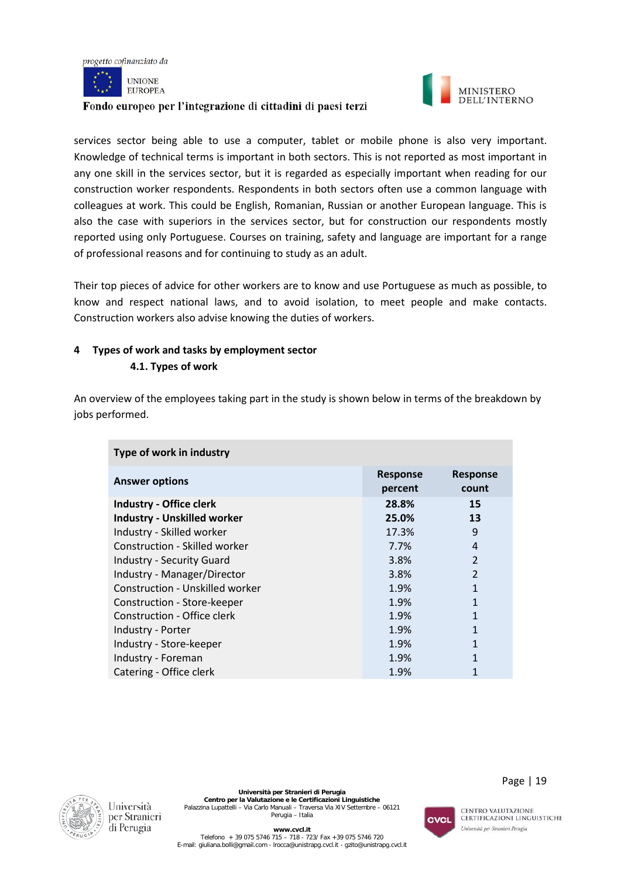



services sector being able to use a computer, tablet or mobile phone is also very important. Knowledge of technical terms is important in both sectors. This is not reported as most important in any one skill in the services sector, but it is regarded as especially important when reading for our construction worker respondents. Respondents in both sectors often use a common language with colleagues at work. This could be English, Romanian, Russian or another European language. This is also the case with superiors in the services sector, but for construction our respondents mostly reported using only Portuguese. Courses on training, safety and language are important for a range of professional reasons and for continuing to study as an adult.

Their top pieces of advice for other workers are to know and use Portuguese as much as possible, to know and respect national laws, and to avoid isolation, to meet people and make contacts. Construction workers also advise knowing the duties of workers.

# **4 Types of work and tasks by employment sector**

**4.1. Types of work**

An overview of the employees taking part in the study is shown below in terms of the breakdown by jobs performed.

| Type of work in industry           |                            |                          |  |  |
|------------------------------------|----------------------------|--------------------------|--|--|
| <b>Answer options</b>              | <b>Response</b><br>percent | <b>Response</b><br>count |  |  |
| <b>Industry - Office clerk</b>     | 28.8%                      | 15                       |  |  |
| <b>Industry - Unskilled worker</b> | 25.0%                      | 13                       |  |  |
| Industry - Skilled worker          | 17.3%                      | 9                        |  |  |
| Construction - Skilled worker      | 7.7%                       | 4                        |  |  |
| <b>Industry - Security Guard</b>   | 3.8%                       | $\overline{2}$           |  |  |
| Industry - Manager/Director        | 3.8%                       | $\overline{2}$           |  |  |
| Construction - Unskilled worker    | 1.9%                       | 1                        |  |  |
| Construction - Store-keeper        | 1.9%                       | 1                        |  |  |
| Construction - Office clerk        | 1.9%                       | 1                        |  |  |
| Industry - Porter                  | 1.9%                       | 1                        |  |  |
| Industry - Store-keeper            | 1.9%                       | 1                        |  |  |
| Industry - Foreman                 | 1.9%                       | 1                        |  |  |
| Catering - Office clerk            | 1.9%                       |                          |  |  |



**Università per Stranieri di Perugia Centro per la Valutazione e le Certificazioni Linguistiche** Palazzina Lupattelli – Via Carlo Manuali – Traversa Via XIV Settembre – 06121 Perugia – Italia

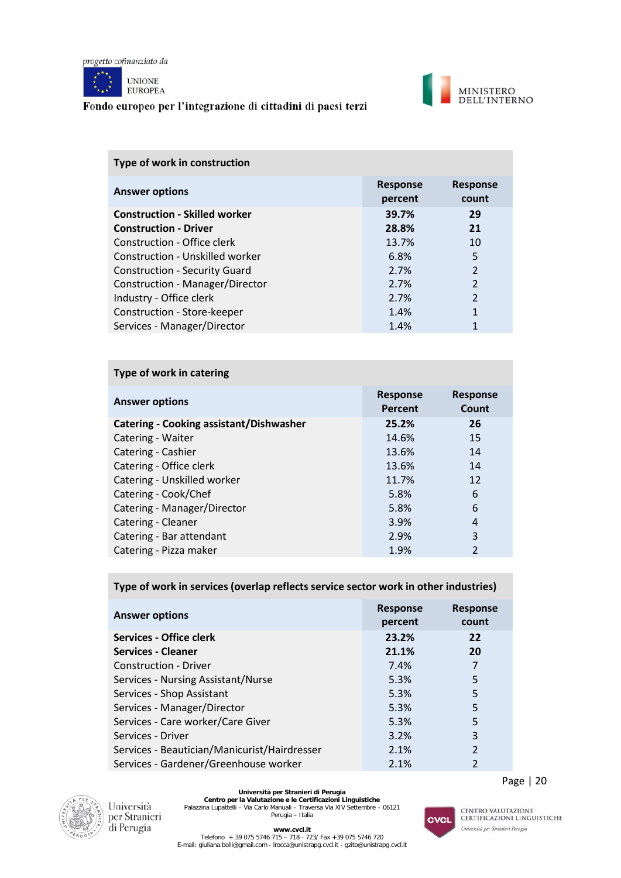

**UNIONE EUROPEA** 

#### Fondo europeo per l'integrazione di cittadini di paesi terzi



| Type of work in construction         |                            |                          |  |  |
|--------------------------------------|----------------------------|--------------------------|--|--|
| <b>Answer options</b>                | <b>Response</b><br>percent | <b>Response</b><br>count |  |  |
| <b>Construction - Skilled worker</b> | 39.7%                      | 29                       |  |  |
| <b>Construction - Driver</b>         | 28.8%                      | 21                       |  |  |
| Construction - Office clerk          | 13.7%                      | 10                       |  |  |
| Construction - Unskilled worker      | 6.8%                       | 5                        |  |  |
| <b>Construction - Security Guard</b> | 2.7%                       | $\overline{2}$           |  |  |
| Construction - Manager/Director      | 2.7%                       | $\overline{2}$           |  |  |
| Industry - Office clerk              | 2.7%                       | $\overline{2}$           |  |  |
| Construction - Store-keeper          | 1.4%                       | 1                        |  |  |
| Services - Manager/Director          | 1.4%                       |                          |  |  |

# **Type of work in catering**

| <b>Answer options</b>                          | <b>Response</b><br>Percent | <b>Response</b><br>Count |
|------------------------------------------------|----------------------------|--------------------------|
| <b>Catering - Cooking assistant/Dishwasher</b> | 25.2%                      | 26                       |
| Catering - Waiter                              | 14.6%                      | 15                       |
| Catering - Cashier                             | 13.6%                      | 14                       |
| Catering - Office clerk                        | 13.6%                      | 14                       |
| Catering - Unskilled worker                    | 11.7%                      | 12                       |
| Catering - Cook/Chef                           | 5.8%                       | 6                        |
| Catering - Manager/Director                    | 5.8%                       | 6                        |
| Catering - Cleaner                             | 3.9%                       | 4                        |
| Catering - Bar attendant                       | 2.9%                       | 3                        |
| Catering - Pizza maker                         | 1.9%                       | $\overline{2}$           |

#### **Type of work in services (overlap reflects service sector work in other industries)**

| <b>Answer options</b>                        | <b>Response</b><br>percent | <b>Response</b><br>count |
|----------------------------------------------|----------------------------|--------------------------|
| Services - Office clerk                      | 23.2%                      | 22                       |
| <b>Services - Cleaner</b>                    | 21.1%                      | 20                       |
| <b>Construction - Driver</b>                 | 7.4%                       | 7                        |
| Services - Nursing Assistant/Nurse           | 5.3%                       | 5                        |
| Services - Shop Assistant                    | 5.3%                       | 5                        |
| Services - Manager/Director                  | 5.3%                       | 5                        |
| Services - Care worker/Care Giver            | 5.3%                       | 5                        |
| Services - Driver                            | 3.2%                       | 3                        |
| Services - Beautician/Manicurist/Hairdresser | 2.1%                       | $\overline{2}$           |
| Services - Gardener/Greenhouse worker        | 2.1%                       | $\overline{2}$           |



Università per Stranieri<br>di Perugia

**Università per Stranieri di Perugia<br>Centro per la Valutazione e le Certificazioni Linguistiche<br>Palazzina Lupattelli – Via Carlo Manuali – Traversa Via XIV Settembre – 06121<br>Perugia – Italia** 



CENTRO VALUTAZIONE<br>CERTIFICAZIONI LINGUISTICHE Università per Stranieri Perugia

Page | 20

**www.cvcl.it**<br>Telefono + 39 075 5746 720 - 718 - 723/ Fax +39 075 5746 720<br>E-mail[: giuliana.bolli@gmail.com](mailto:giuliana.bolli@gmail.com) - lrocca@unistrapg.cvcl.it - [gzito@unistrapg.cvcl.it](mailto:gzito@unistrapg.cvcl.it)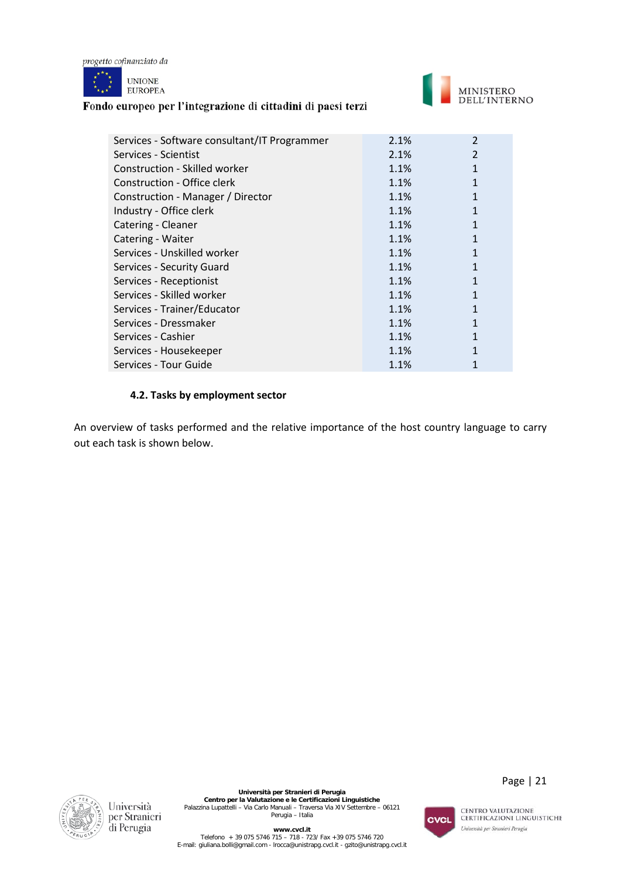

**UNIONE EUROPEA** 

# Fondo europeo per l'integrazione di cittadini di paesi terzi



| Services - Software consultant/IT Programmer | 2.1% | $\overline{2}$ |
|----------------------------------------------|------|----------------|
| Services - Scientist                         | 2.1% | 2              |
| Construction - Skilled worker                | 1.1% |                |
| Construction - Office clerk                  | 1.1% |                |
| Construction - Manager / Director            | 1.1% |                |
| Industry - Office clerk                      | 1.1% |                |
| Catering - Cleaner                           | 1.1% |                |
| Catering - Waiter                            | 1.1% | 1              |
| Services - Unskilled worker                  | 1.1% | 1              |
| Services - Security Guard                    | 1.1% |                |
| Services - Receptionist                      | 1.1% | 1              |
| Services - Skilled worker                    | 1.1% | 1              |
| Services - Trainer/Educator                  | 1.1% |                |
| Services - Dressmaker                        | 1.1% |                |
| Services - Cashier                           | 1.1% |                |
| Services - Housekeeper                       | 1.1% |                |
| Services - Tour Guide                        | 1.1% |                |

#### **4.2. Tasks by employment sector**

An overview of tasks performed and the relative importance of the host country language to carry out each task is shown below.



**Università per Stranieri di Perugia<br>Centro per la Valutazione e le Certificazioni Linguistiche<br>Palazzina Lupattelli – Via Carlo Manuali – Traversa Via XIV Settembre – 06121<br>Perugia – Italia** 

CVCL

Page | 21

**www.cvcl.it**<br>Telefono + 39 075 5746 720 - 718 - 723/ Fax +39 075 5746 720<br>E-mail[: giuliana.bolli@gmail.com](mailto:giuliana.bolli@gmail.com) - lrocca@unistrapg.cvcl.it - [gzito@unistrapg.cvcl.it](mailto:gzito@unistrapg.cvcl.it)

CENTRO VALUTAZIONE<br>CERTIFICAZIONI LINGUISTICHE Università per Stranieri Perugia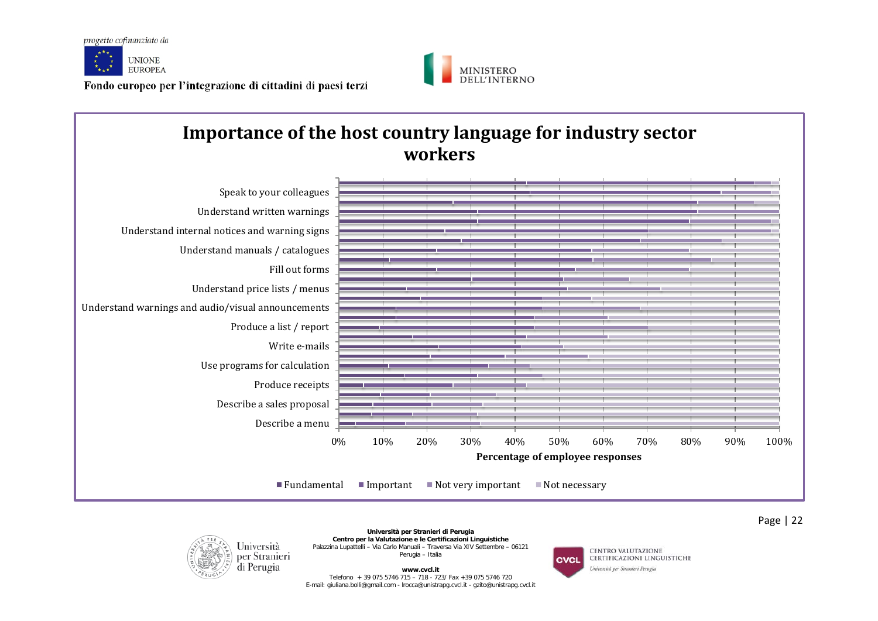







**Università per Stranieri di Perugia Centro per la Valutazione e le Certificazioni Linguistiche** Palazzina Lupattelli – Via Carlo Manuali – Traversa Via XIV Settembre – 06121 Perugia – Italia

**www.cvcl.it**  Telefono + 39 075 5746 715 – 718 - 723/ Fax +39 075 5746 720 E-mail[: giuliana.bolli@gmail.com](mailto:giuliana.bolli@gmail.com) - lrocca@unistrapg.cvcl.it - [gzito@unistrapg.cvcl.it](mailto:gzito@unistrapg.cvcl.it)

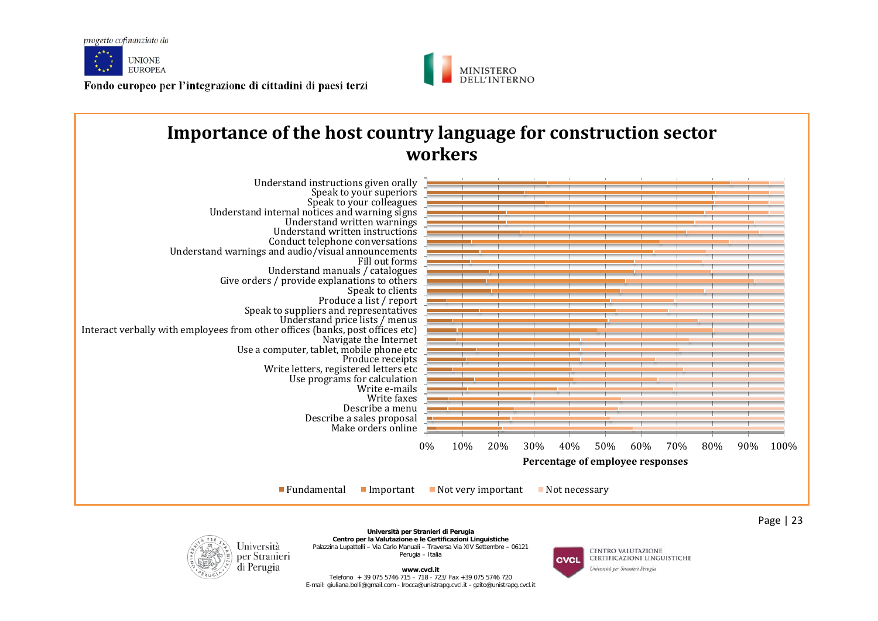



#### 0% 10% 20% 30% 40% 50% 60% 70% 80% 90% 100% Make orders online Describe a sales proposal Describe a menu Write faxes Write e-mails Use programs for calculation Write letters, registered letters etc Produce receipts Use a computer, tablet, mobile phone etc Navigate the Internet Interact verbally with employees from other offices (banks, post offices etc) Understand price lists / menus Speak to suppliers and representatives Produce a list / report Speak to clients Give orders / provide explanations to others Understand manuals / catalogues Fill out forms Understand warnings and audio/visual announcements Conduct telephone conversations Understand written instructions Understand written warnings Understand internal notices and warning signs Speak to your colleagues Speak to your superiors Understand instructions given orally **Percentage of employee responses Importance of the host country language for construction sector workers**  $\blacksquare$  Fundamental  $\blacksquare$  Important  $\blacksquare$  Not very important  $\blacksquare$  Not necessary



**Università per Stranieri di Perugia Centro per la Valutazione e le Certificazioni Linguistiche** Palazzina Lupattelli – Via Carlo Manuali – Traversa Via XIV Settembre – 06121 Perugia – Italia

**www.cvcl.it**  Telefono + 39 075 5746 715 – 718 - 723/ Fax +39 075 5746 720 E-mail[: giuliana.bolli@gmail.com](mailto:giuliana.bolli@gmail.com) - lrocca@unistrapg.cvcl.it - [gzito@unistrapg.cvcl.it](mailto:gzito@unistrapg.cvcl.it)

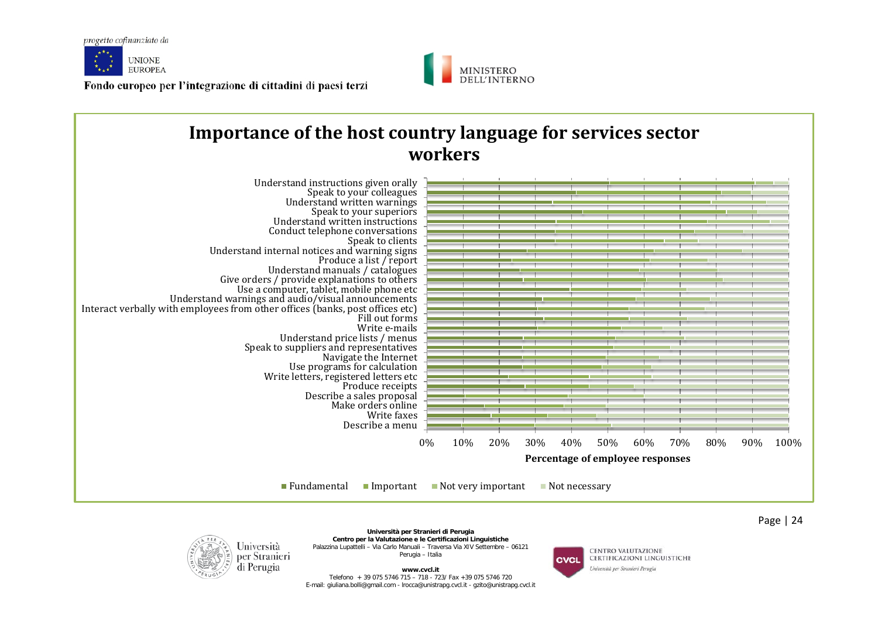



#### 0% 10% 20% 30% 40% 50% 60% 70% 80% 90% 100% Describe a menu Write faxes Make orders online Describe a sales proposal Produce receipts Write letters, registered letters etc<br>Produce receipts Use programs for calculation Navigate the Internet Speak to suppliers and representatives Understand price lists / menus Write e-mails Fill out forms<br>Write e-mails Interact verbally with employees from other offices (banks, post offices etc) Understand warnings and audio/visual announcements Use a computer, tablet, mobile phone etc Give orders / provide explanations to others Understand manuals / catalogues Produce a list / report Understand internal notices and warning signs Speak to clients Conduct telephone conversations Understand written instructions Speak to your superiors Understand written warnings Speak to your colleagues Understand instructions given orally **Percentage of employee responses Importance of the host country language for services sector workers**  $\blacksquare$  Fundamental  $\blacksquare$  Important  $\blacksquare$  Not very important  $\blacksquare$  Not necessary



**Università per Stranieri di Perugia Centro per la Valutazione e le Certificazioni Linguistiche** Palazzina Lupattelli – Via Carlo Manuali – Traversa Via XIV Settembre – 06121 Perugia – Italia

**www.cvcl.it**  Telefono + 39 075 5746 715 – 718 - 723/ Fax +39 075 5746 720 E-mail[: giuliana.bolli@gmail.com](mailto:giuliana.bolli@gmail.com) - lrocca@unistrapg.cvcl.it - [gzito@unistrapg.cvcl.it](mailto:gzito@unistrapg.cvcl.it)

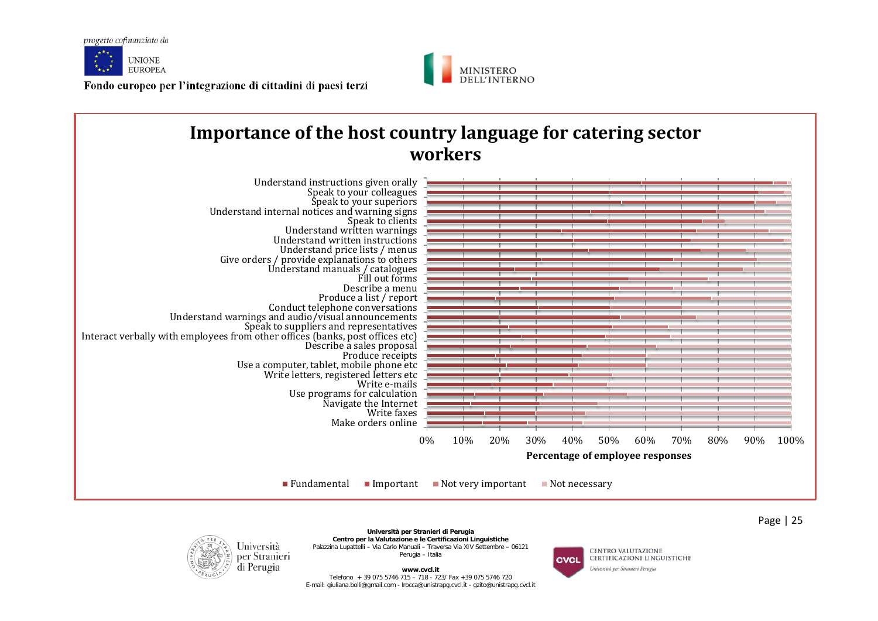



# **Importance of the host country language for catering sector workers**





**Università per Stranieri di Perugia Centro per la Valutazione e le Certificazioni Linguistiche** Palazzina Lupattelli – Via Carlo Manuali – Traversa Via XIV Settembre – 06121 Perugia – Italia

**www.cvcl.it**  Telefono + 39 075 5746 715 – 718 - 723/ Fax +39 075 5746 720 E-mail[: giuliana.bolli@gmail.com](mailto:giuliana.bolli@gmail.com) - lrocca@unistrapg.cvcl.it - [gzito@unistrapg.cvcl.it](mailto:gzito@unistrapg.cvcl.it)

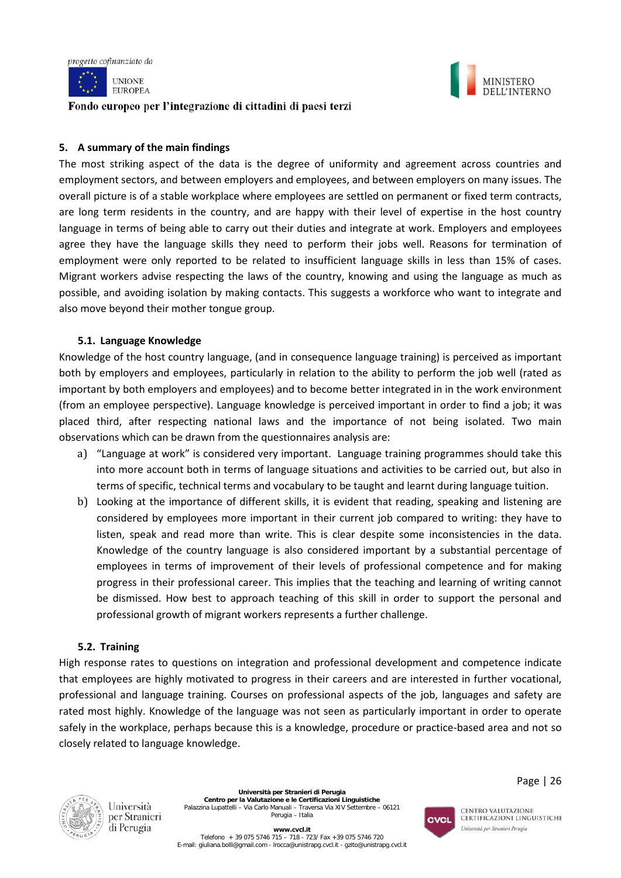



#### **5. A summary of the main findings**

The most striking aspect of the data is the degree of uniformity and agreement across countries and employment sectors, and between employers and employees, and between employers on many issues. The overall picture is of a stable workplace where employees are settled on permanent or fixed term contracts, are long term residents in the country, and are happy with their level of expertise in the host country language in terms of being able to carry out their duties and integrate at work. Employers and employees agree they have the language skills they need to perform their jobs well. Reasons for termination of employment were only reported to be related to insufficient language skills in less than 15% of cases. Migrant workers advise respecting the laws of the country, knowing and using the language as much as possible, and avoiding isolation by making contacts. This suggests a workforce who want to integrate and also move beyond their mother tongue group.

#### **5.1. Language Knowledge**

Knowledge of the host country language, (and in consequence language training) is perceived as important both by employers and employees, particularly in relation to the ability to perform the job well (rated as important by both employers and employees) and to become better integrated in in the work environment (from an employee perspective). Language knowledge is perceived important in order to find a job; it was placed third, after respecting national laws and the importance of not being isolated. Two main observations which can be drawn from the questionnaires analysis are:

- a) "Language at work" is considered very important. Language training programmes should take this into more account both in terms of language situations and activities to be carried out, but also in terms of specific, technical terms and vocabulary to be taught and learnt during language tuition.
- b) Looking at the importance of different skills, it is evident that reading, speaking and listening are considered by employees more important in their current job compared to writing: they have to listen, speak and read more than write. This is clear despite some inconsistencies in the data. Knowledge of the country language is also considered important by a substantial percentage of employees in terms of improvement of their levels of professional competence and for making progress in their professional career. This implies that the teaching and learning of writing cannot be dismissed. How best to approach teaching of this skill in order to support the personal and professional growth of migrant workers represents a further challenge.

#### **5.2. Training**

High response rates to questions on integration and professional development and competence indicate that employees are highly motivated to progress in their careers and are interested in further vocational, professional and language training. Courses on professional aspects of the job, languages and safety are rated most highly. Knowledge of the language was not seen as particularly important in order to operate safely in the workplace, perhaps because this is a knowledge, procedure or practice-based area and not so closely related to language knowledge.



Università per Stranieri di Perugia

**Università per Stranieri di Perugia Centro per la Valutazione e le Certificazioni Linguistiche** Palazzina Lupattelli – Via Carlo Manuali – Traversa Via XIV Settembre – 06121 Perugia – Italia



CENTRO VALUTAZIONE **CERTIFICAZIONI LINGUISTICHE** Università per Stranieri Perugia

MINISTERO

DELL'INTERNO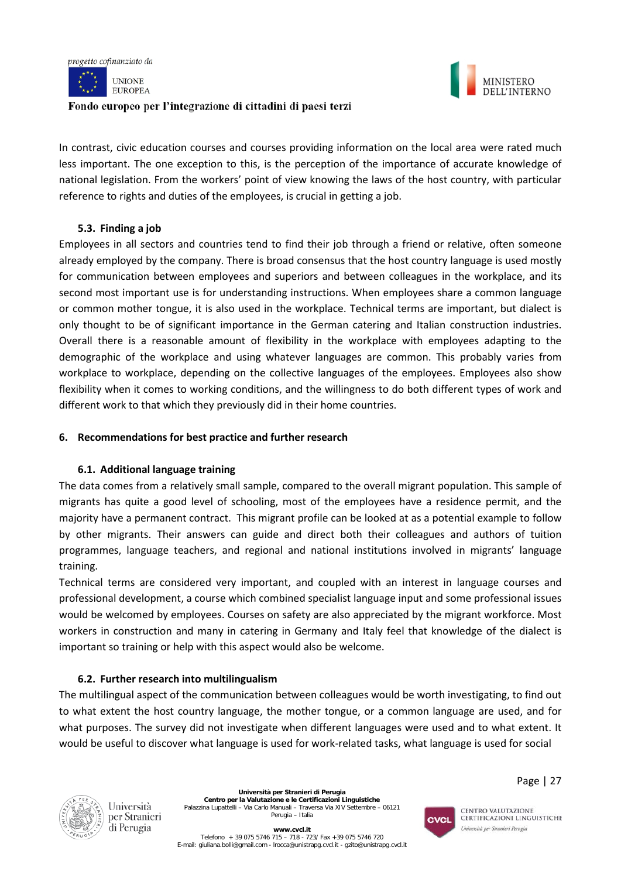



MINISTERO DELL'INTERNO

In contrast, civic education courses and courses providing information on the local area were rated much less important. The one exception to this, is the perception of the importance of accurate knowledge of national legislation. From the workers' point of view knowing the laws of the host country, with particular reference to rights and duties of the employees, is crucial in getting a job.

# **5.3. Finding a job**

Employees in all sectors and countries tend to find their job through a friend or relative, often someone already employed by the company. There is broad consensus that the host country language is used mostly for communication between employees and superiors and between colleagues in the workplace, and its second most important use is for understanding instructions. When employees share a common language or common mother tongue, it is also used in the workplace. Technical terms are important, but dialect is only thought to be of significant importance in the German catering and Italian construction industries. Overall there is a reasonable amount of flexibility in the workplace with employees adapting to the demographic of the workplace and using whatever languages are common. This probably varies from workplace to workplace, depending on the collective languages of the employees. Employees also show flexibility when it comes to working conditions, and the willingness to do both different types of work and different work to that which they previously did in their home countries.

# **6. Recommendations for best practice and further research**

# **6.1. Additional language training**

The data comes from a relatively small sample, compared to the overall migrant population. This sample of migrants has quite a good level of schooling, most of the employees have a residence permit, and the majority have a permanent contract. This migrant profile can be looked at as a potential example to follow by other migrants. Their answers can guide and direct both their colleagues and authors of tuition programmes, language teachers, and regional and national institutions involved in migrants' language training.

Technical terms are considered very important, and coupled with an interest in language courses and professional development, a course which combined specialist language input and some professional issues would be welcomed by employees. Courses on safety are also appreciated by the migrant workforce. Most workers in construction and many in catering in Germany and Italy feel that knowledge of the dialect is important so training or help with this aspect would also be welcome.

# **6.2. Further research into multilingualism**

The multilingual aspect of the communication between colleagues would be worth investigating, to find out to what extent the host country language, the mother tongue, or a common language are used, and for what purposes. The survey did not investigate when different languages were used and to what extent. It would be useful to discover what language is used for work-related tasks, what language is used for social



Università per Stranieri di Perugia

**Università per Stranieri di Perugia Centro per la Valutazione e le Certificazioni Linguistiche** Palazzina Lupattelli – Via Carlo Manuali – Traversa Via XIV Settembre – 06121 Perugia – Italia



CENTRO VALUTAZIONE CERTIFICAZIONI LINGUISTICHE Università per Stranieri Perugia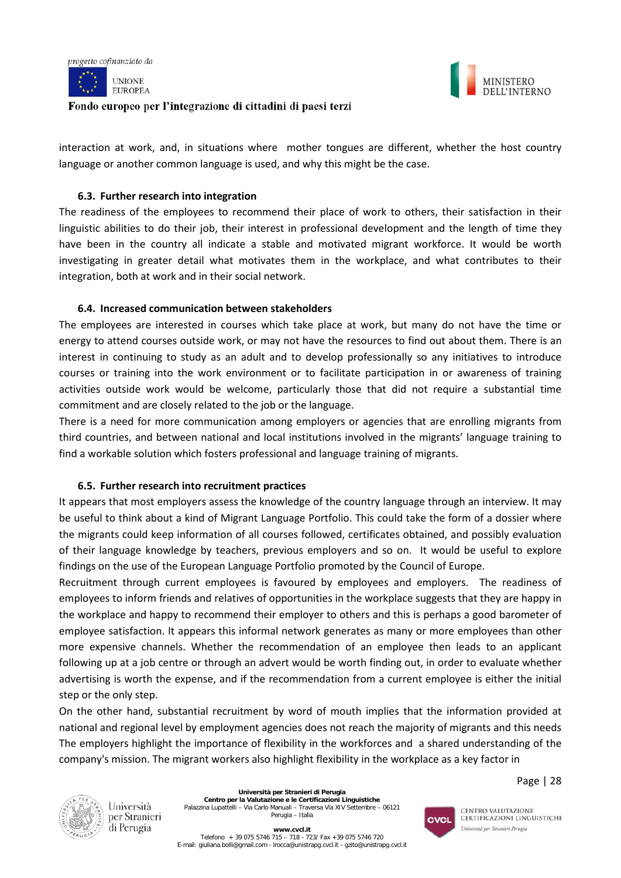





interaction at work, and, in situations where mother tongues are different, whether the host country language or another common language is used, and why this might be the case.

# **6.3. Further research into integration**

The readiness of the employees to recommend their place of work to others, their satisfaction in their linguistic abilities to do their job, their interest in professional development and the length of time they have been in the country all indicate a stable and motivated migrant workforce. It would be worth investigating in greater detail what motivates them in the workplace, and what contributes to their integration, both at work and in their social network.

# **6.4. Increased communication between stakeholders**

The employees are interested in courses which take place at work, but many do not have the time or energy to attend courses outside work, or may not have the resources to find out about them. There is an interest in continuing to study as an adult and to develop professionally so any initiatives to introduce courses or training into the work environment or to facilitate participation in or awareness of training activities outside work would be welcome, particularly those that did not require a substantial time commitment and are closely related to the job or the language.

There is a need for more communication among employers or agencies that are enrolling migrants from third countries, and between national and local institutions involved in the migrants' language training to find a workable solution which fosters professional and language training of migrants.

# **6.5. Further research into recruitment practices**

It appears that most employers assess the knowledge of the country language through an interview. It may be useful to think about a kind of Migrant Language Portfolio. This could take the form of a dossier where the migrants could keep information of all courses followed, certificates obtained, and possibly evaluation of their language knowledge by teachers, previous employers and so on. It would be useful to explore findings on the use of the European Language Portfolio promoted by the Council of Europe.

Recruitment through current employees is favoured by employees and employers. The readiness of employees to inform friends and relatives of opportunities in the workplace suggests that they are happy in the workplace and happy to recommend their employer to others and this is perhaps a good barometer of employee satisfaction. It appears this informal network generates as many or more employees than other more expensive channels. Whether the recommendation of an employee then leads to an applicant following up at a job centre or through an advert would be worth finding out, in order to evaluate whether advertising is worth the expense, and if the recommendation from a current employee is either the initial step or the only step.

On the other hand, substantial recruitment by word of mouth implies that the information provided at national and regional level by employment agencies does not reach the majority of migrants and this needs The employers highlight the importance of flexibility in the workforces and a shared understanding of the company's mission. The migrant workers also highlight flexibility in the workplace as a key factor in

Page | 28



Università per Stranieri di Perugia

**Università per Stranieri di Perugia Centro per la Valutazione e le Certificazioni Linguistiche** Palazzina Lupattelli – Via Carlo Manuali – Traversa Via XIV Settembre – 06121 Perugia – Italia



CENTRO VALUTAZIONE CERTIFICAZIONI LINGUISTICHE Università per Stranieri Perugia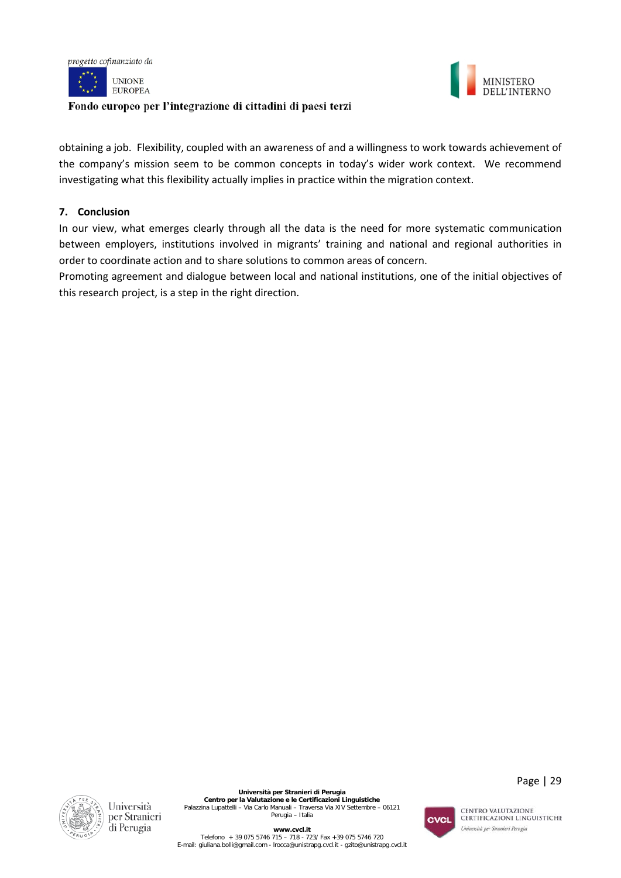





obtaining a job. Flexibility, coupled with an awareness of and a willingness to work towards achievement of the company's mission seem to be common concepts in today's wider work context. We recommend investigating what this flexibility actually implies in practice within the migration context.

# **7. Conclusion**

In our view, what emerges clearly through all the data is the need for more systematic communication between employers, institutions involved in migrants' training and national and regional authorities in order to coordinate action and to share solutions to common areas of concern.

Promoting agreement and dialogue between local and national institutions, one of the initial objectives of this research project, is a step in the right direction.





Page | 29

**www.cvcl.it**  Telefono + 39 075 5746 715 – 718 - 723/ Fax +39 075 5746 720 E-mail[: giuliana.bolli@gmail.com](mailto:giuliana.bolli@gmail.com) - lrocca@unistrapg.cvcl.it - [gzito@unistrapg.cvcl.it](mailto:gzito@unistrapg.cvcl.it)

CENTRO VALUTAZIONE **CERTIFICAZIONI LINGUISTICHE** Università per Stranieri Perugia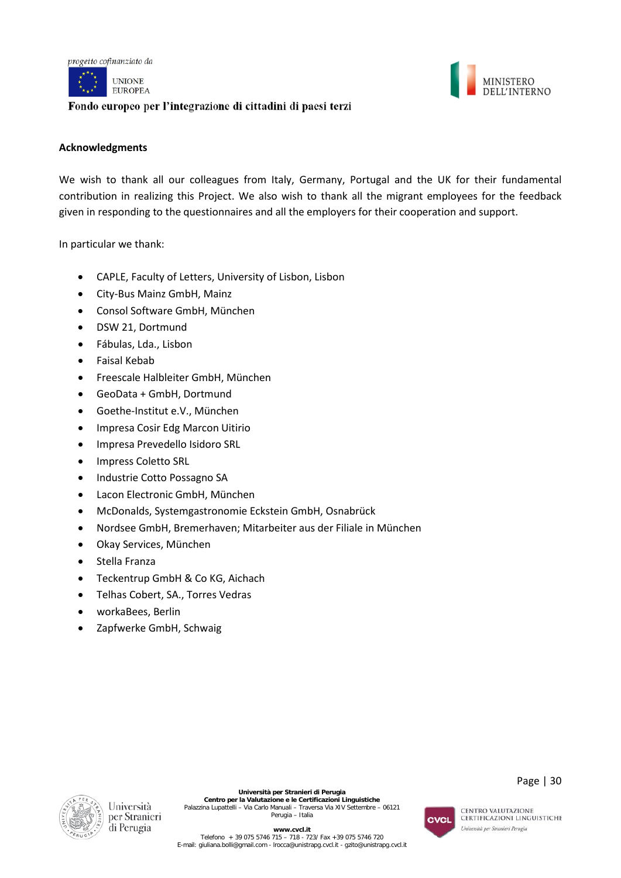

**UNIONE EUROPEA** 

# Fondo europeo per l'integrazione di cittadini di paesi terzi



#### **Acknowledgments**

We wish to thank all our colleagues from Italy, Germany, Portugal and the UK for their fundamental contribution in realizing this Project. We also wish to thank all the migrant employees for the feedback given in responding to the questionnaires and all the employers for their cooperation and support.

In particular we thank:

- CAPLE, Faculty of Letters, University of Lisbon, Lisbon
- City-Bus Mainz GmbH, Mainz
- Consol Software GmbH, München
- DSW 21, Dortmund
- Fábulas, Lda., Lisbon
- Faisal Kebab
- Freescale Halbleiter GmbH, München
- GeoData + GmbH, Dortmund
- Goethe-Institut e.V., München
- Impresa Cosir Edg Marcon Uitirio
- Impresa Prevedello Isidoro SRL
- Impress Coletto SRL
- Industrie Cotto Possagno SA
- Lacon Electronic GmbH, München
- McDonalds, Systemgastronomie Eckstein GmbH, Osnabrück
- Nordsee GmbH, Bremerhaven; Mitarbeiter aus der Filiale in München
- Okay Services, München
- Stella Franza
- Teckentrup GmbH & Co KG, Aichach
- Telhas Cobert, SA., Torres Vedras
- workaBees, Berlin
- Zapfwerke GmbH, Schwaig



Università per Stranieri di Perugia

**Università per Stranieri di Perugia Centro per la Valutazione e le Certificazioni Linguistiche** Palazzina Lupattelli – Via Carlo Manuali – Traversa Via XIV Settembre – 06121 Perugia – Italia